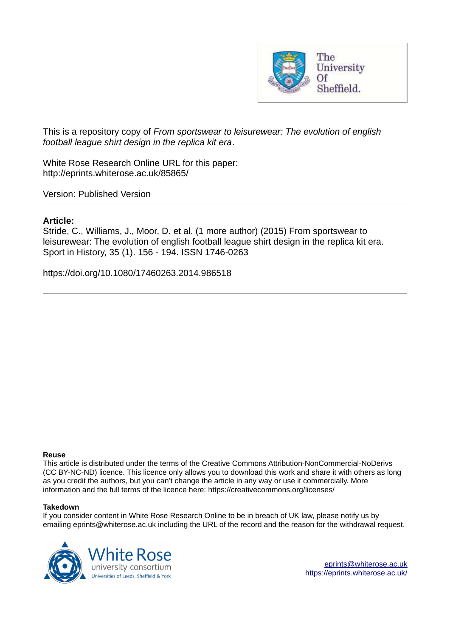

This is a repository copy of *From sportswear to leisurewear: The evolution of english football league shirt design in the replica kit era*.

White Rose Research Online URL for this paper: http://eprints.whiterose.ac.uk/85865/

Version: Published Version

## **Article:**

Stride, C., Williams, J., Moor, D. et al. (1 more author) (2015) From sportswear to leisurewear: The evolution of english football league shirt design in the replica kit era. Sport in History, 35 (1). 156 - 194. ISSN 1746-0263

https://doi.org/10.1080/17460263.2014.986518

## **Reuse**

This article is distributed under the terms of the Creative Commons Attribution-NonCommercial-NoDerivs (CC BY-NC-ND) licence. This licence only allows you to download this work and share it with others as long as you credit the authors, but you can't change the article in any way or use it commercially. More information and the full terms of the licence here: https://creativecommons.org/licenses/

## **Takedown**

If you consider content in White Rose Research Online to be in breach of UK law, please notify us by emailing eprints@whiterose.ac.uk including the URL of the record and the reason for the withdrawal request.



[eprints@whiterose.ac.uk](mailto:eprints@whiterose.ac.uk) <https://eprints.whiterose.ac.uk/>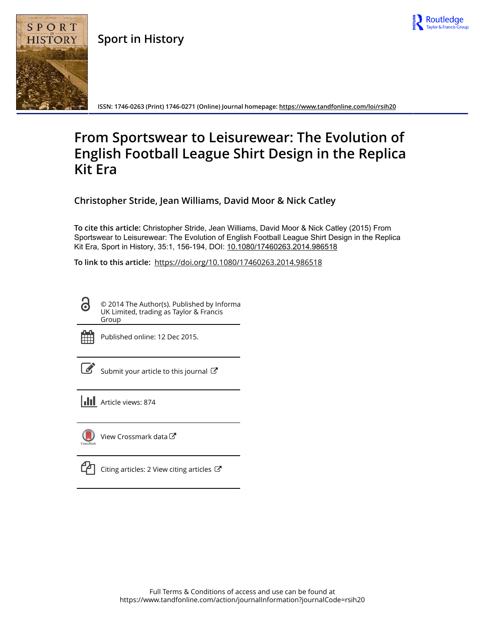

**Sport in History**



**ISSN: 1746-0263 (Print) 1746-0271 (Online) Journal homepage:<https://www.tandfonline.com/loi/rsih20>**

## **From Sportswear to Leisurewear: The Evolution of English Football League Shirt Design in the Replica Kit Era**

**Christopher Stride, Jean Williams, David Moor & Nick Catley**

**To cite this article:** Christopher Stride, Jean Williams, David Moor & Nick Catley (2015) From Sportswear to Leisurewear: The Evolution of English Football League Shirt Design in the Replica Kit Era, Sport in History, 35:1, 156-194, DOI: [10.1080/17460263.2014.986518](https://www.tandfonline.com/action/showCitFormats?doi=10.1080/17460263.2014.986518)

**To link to this article:** <https://doi.org/10.1080/17460263.2014.986518>

<u>ය</u> © 2014 The Author(s). Published by Informa UK Limited, trading as Taylor & Francis Group



Published online: 12 Dec 2015.

|--|

[Submit your article to this journal](https://www.tandfonline.com/action/authorSubmission?journalCode=rsih20&show=instructions)  $\mathbb{Z}$ 

**III** Article views: 874



[View Crossmark data](http://crossmark.crossref.org/dialog/?doi=10.1080/17460263.2014.986518&domain=pdf&date_stamp=2015-12-12)<sup>C</sup>

 $\Box$  [Citing articles: 2 View citing articles](https://www.tandfonline.com/doi/citedby/10.1080/17460263.2014.986518#tabModule)  $\Box$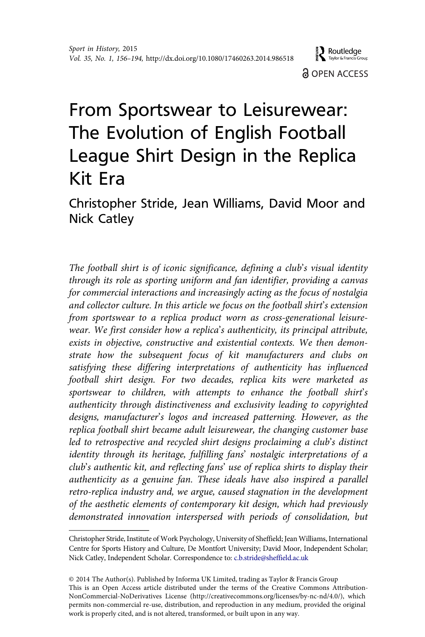# From Sportswear to Leisurewear: The Evolution of English Football League Shirt Design in the Replica Kit Era

Christopher Stride, Jean Williams, David Moor and Nick Catley

The football shirt is of iconic significance, defining a club's visual identity through its role as sporting uniform and fan identifier, providing a canvas for commercial interactions and increasingly acting as the focus of nostalgia and collector culture. In this article we focus on the football shirt's extension from sportswear to a replica product worn as cross-generational leisurewear. We first consider how a replica's authenticity, its principal attribute, exists in objective, constructive and existential contexts. We then demonstrate how the subsequent focus of kit manufacturers and clubs on satisfying these differing interpretations of authenticity has influenced football shirt design. For two decades, replica kits were marketed as sportswear to children, with attempts to enhance the football shirt's authenticity through distinctiveness and exclusivity leading to copyrighted designs, manufacturer's logos and increased patterning. However, as the replica football shirt became adult leisurewear, the changing customer base led to retrospective and recycled shirt designs proclaiming a club's distinct identity through its heritage, fulfilling fans' nostalgic interpretations of a club's authentic kit, and reflecting fans' use of replica shirts to display their authenticity as a genuine fan. These ideals have also inspired a parallel retro-replica industry and, we argue, caused stagnation in the development of the aesthetic elements of contemporary kit design, which had previously demonstrated innovation interspersed with periods of consolidation, but

Christopher Stride, Institute of Work Psychology, University of Sheffield; Jean Williams, International Centre for Sports History and Culture, De Montfort University; David Moor, Independent Scholar; Nick Catley, Independent Scholar. Correspondence to: c.b.stride@sheffield.ac.uk

<sup>©</sup> 2014 The Author(s). Published by Informa UK Limited, trading as Taylor & Francis Group This is an Open Access article distributed under the terms of the Creative Commons Attribution-NonCommercial-NoDerivatives License (http://creativecommons.org/licenses/by-nc-nd/4.0/), which permits non-commercial re-use, distribution, and reproduction in any medium, provided the original work is properly cited, and is not altered, transformed, or built upon in any way.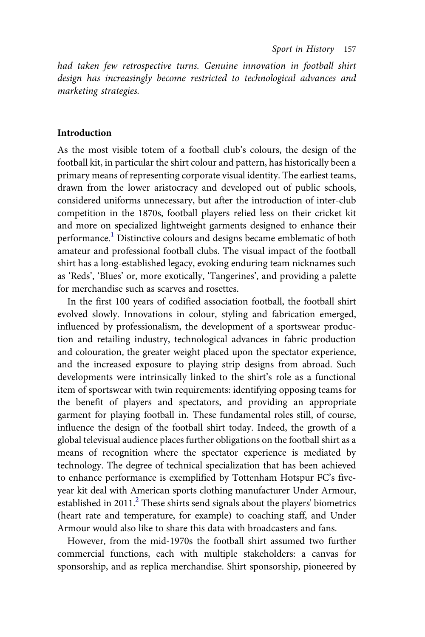had taken few retrospective turns. Genuine innovation in football shirt design has increasingly become restricted to technological advances and marketing strategies.

#### Introduction

As the most visible totem of a football club's colours, the design of the football kit, in particular the shirt colour and pattern, has historically been a primary means of representing corporate visual identity. The earliest teams, drawn from the lower aristocracy and developed out of public schools, considered uniforms unnecessary, but after the introduction of inter-club competition in the 1870s, football players relied less on their cricket kit and more on specialized lightweight garments designed to enhance their performance.[1](#page-32-0) Distinctive colours and designs became emblematic of both amateur and professional football clubs. The visual impact of the football shirt has a long-established legacy, evoking enduring team nicknames such as 'Reds', 'Blues' or, more exotically, 'Tangerines', and providing a palette for merchandise such as scarves and rosettes.

In the first 100 years of codified association football, the football shirt evolved slowly. Innovations in colour, styling and fabrication emerged, influenced by professionalism, the development of a sportswear production and retailing industry, technological advances in fabric production and colouration, the greater weight placed upon the spectator experience, and the increased exposure to playing strip designs from abroad. Such developments were intrinsically linked to the shirt's role as a functional item of sportswear with twin requirements: identifying opposing teams for the benefit of players and spectators, and providing an appropriate garment for playing football in. These fundamental roles still, of course, influence the design of the football shirt today. Indeed, the growth of a global televisual audience places further obligations on the football shirt as a means of recognition where the spectator experience is mediated by technology. The degree of technical specialization that has been achieved to enhance performance is exemplified by Tottenham Hotspur FC's fiveyear kit deal with American sports clothing manufacturer Under Armour, established in [2](#page-32-0)011.<sup>2</sup> These shirts send signals about the players' biometrics (heart rate and temperature, for example) to coaching staff, and Under Armour would also like to share this data with broadcasters and fans.

However, from the mid-1970s the football shirt assumed two further commercial functions, each with multiple stakeholders: a canvas for sponsorship, and as replica merchandise. Shirt sponsorship, pioneered by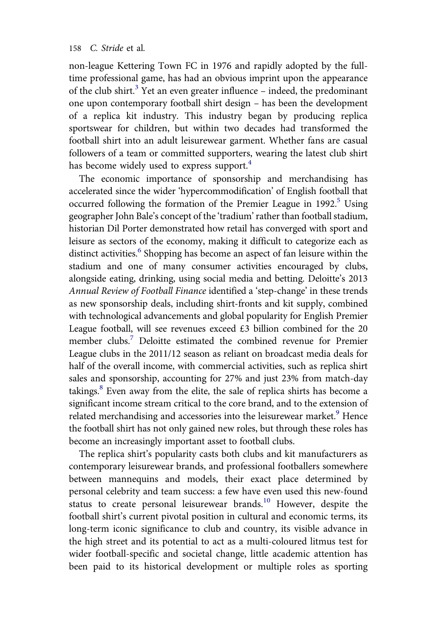non-league Kettering Town FC in 1976 and rapidly adopted by the fulltime professional game, has had an obvious imprint upon the appearance of the club shirt.<sup>[3](#page-32-0)</sup> Yet an even greater influence - indeed, the predominant one upon contemporary football shirt design – has been the development of a replica kit industry. This industry began by producing replica sportswear for children, but within two decades had transformed the football shirt into an adult leisurewear garment. Whether fans are casual followers of a team or committed supporters, wearing the latest club shirt has become widely used to express support.<sup>[4](#page-32-0)</sup>

The economic importance of sponsorship and merchandising has accelerated since the wider 'hypercommodification' of English football that occurred following the formation of the Premier League in  $1992$ <sup>[5](#page-32-0)</sup> Using geographer John Bale's concept of the 'tradium' rather than football stadium, historian Dil Porter demonstrated how retail has converged with sport and leisure as sectors of the economy, making it difficult to categorize each as distinct activities.<sup>[6](#page-32-0)</sup> Shopping has become an aspect of fan leisure within the stadium and one of many consumer activities encouraged by clubs, alongside eating, drinking, using social media and betting. Deloitte's 2013 Annual Review of Football Finance identified a 'step-change' in these trends as new sponsorship deals, including shirt-fronts and kit supply, combined with technological advancements and global popularity for English Premier League football, will see revenues exceed £3 billion combined for the 20 member clubs.[7](#page-32-0) Deloitte estimated the combined revenue for Premier League clubs in the 2011/12 season as reliant on broadcast media deals for half of the overall income, with commercial activities, such as replica shirt sales and sponsorship, accounting for 27% and just 23% from match-day takings.<sup>[8](#page-32-0)</sup> Even away from the elite, the sale of replica shirts has become a significant income stream critical to the core brand, and to the extension of related merchandising and accessories into the leisurewear market.<sup>[9](#page-32-0)</sup> Hence the football shirt has not only gained new roles, but through these roles has become an increasingly important asset to football clubs.

The replica shirt's popularity casts both clubs and kit manufacturers as contemporary leisurewear brands, and professional footballers somewhere between mannequins and models, their exact place determined by personal celebrity and team success: a few have even used this new-found status to create personal leisurewear brands. $^{10}$  $^{10}$  $^{10}$  However, despite the football shirt's current pivotal position in cultural and economic terms, its long-term iconic significance to club and country, its visible advance in the high street and its potential to act as a multi-coloured litmus test for wider football-specific and societal change, little academic attention has been paid to its historical development or multiple roles as sporting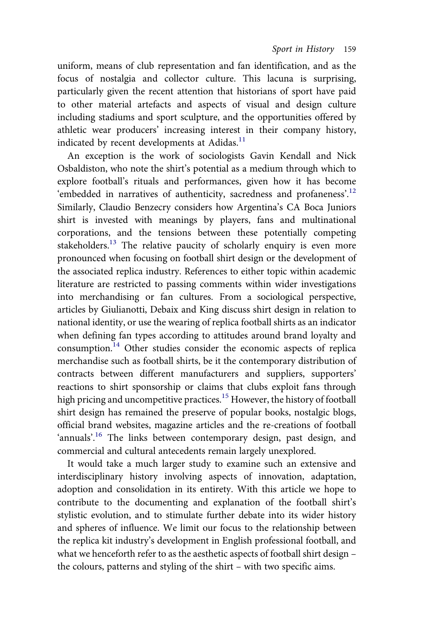uniform, means of club representation and fan identification, and as the focus of nostalgia and collector culture. This lacuna is surprising, particularly given the recent attention that historians of sport have paid to other material artefacts and aspects of visual and design culture including stadiums and sport sculpture, and the opportunities offered by athletic wear producers' increasing interest in their company history, indicated by recent developments at Adidas.<sup>[11](#page-33-0)</sup>

An exception is the work of sociologists Gavin Kendall and Nick Osbaldiston, who note the shirt's potential as a medium through which to explore football's rituals and performances, given how it has become 'embedded in narratives of authenticity, sacredness and profaneness'.<sup>[12](#page-33-0)</sup> Similarly, Claudio Benzecry considers how Argentina's CA Boca Juniors shirt is invested with meanings by players, fans and multinational corporations, and the tensions between these potentially competing stakeholders.<sup>[13](#page-33-0)</sup> The relative paucity of scholarly enquiry is even more pronounced when focusing on football shirt design or the development of the associated replica industry. References to either topic within academic literature are restricted to passing comments within wider investigations into merchandising or fan cultures. From a sociological perspective, articles by Giulianotti, Debaix and King discuss shirt design in relation to national identity, or use the wearing of replica football shirts as an indicator when defining fan types according to attitudes around brand loyalty and consumption.[14](#page-33-0) Other studies consider the economic aspects of replica merchandise such as football shirts, be it the contemporary distribution of contracts between different manufacturers and suppliers, supporters' reactions to shirt sponsorship or claims that clubs exploit fans through high pricing and uncompetitive practices.<sup>[15](#page-33-0)</sup> However, the history of football shirt design has remained the preserve of popular books, nostalgic blogs, official brand websites, magazine articles and the re-creations of football 'annuals'.<sup>[16](#page-33-0)</sup> The links between contemporary design, past design, and commercial and cultural antecedents remain largely unexplored.

It would take a much larger study to examine such an extensive and interdisciplinary history involving aspects of innovation, adaptation, adoption and consolidation in its entirety. With this article we hope to contribute to the documenting and explanation of the football shirt's stylistic evolution, and to stimulate further debate into its wider history and spheres of influence. We limit our focus to the relationship between the replica kit industry's development in English professional football, and what we henceforth refer to as the aesthetic aspects of football shirt design – the colours, patterns and styling of the shirt – with two specific aims.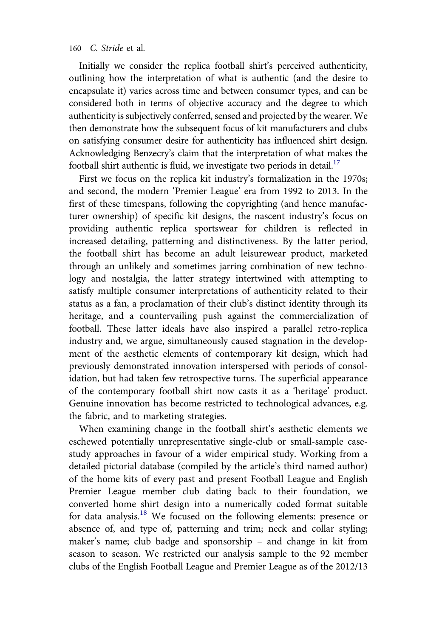Initially we consider the replica football shirt's perceived authenticity, outlining how the interpretation of what is authentic (and the desire to encapsulate it) varies across time and between consumer types, and can be considered both in terms of objective accuracy and the degree to which authenticity is subjectively conferred, sensed and projected by the wearer. We then demonstrate how the subsequent focus of kit manufacturers and clubs on satisfying consumer desire for authenticity has influenced shirt design. Acknowledging Benzecry's claim that the interpretation of what makes the football shirt authentic is fluid, we investigate two periods in detail.<sup>[17](#page-33-0)</sup>

First we focus on the replica kit industry's formalization in the 1970s; and second, the modern 'Premier League' era from 1992 to 2013. In the first of these timespans, following the copyrighting (and hence manufacturer ownership) of specific kit designs, the nascent industry's focus on providing authentic replica sportswear for children is reflected in increased detailing, patterning and distinctiveness. By the latter period, the football shirt has become an adult leisurewear product, marketed through an unlikely and sometimes jarring combination of new technology and nostalgia, the latter strategy intertwined with attempting to satisfy multiple consumer interpretations of authenticity related to their status as a fan, a proclamation of their club's distinct identity through its heritage, and a countervailing push against the commercialization of football. These latter ideals have also inspired a parallel retro-replica industry and, we argue, simultaneously caused stagnation in the development of the aesthetic elements of contemporary kit design, which had previously demonstrated innovation interspersed with periods of consolidation, but had taken few retrospective turns. The superficial appearance of the contemporary football shirt now casts it as a 'heritage' product. Genuine innovation has become restricted to technological advances, e.g. the fabric, and to marketing strategies.

When examining change in the football shirt's aesthetic elements we eschewed potentially unrepresentative single-club or small-sample casestudy approaches in favour of a wider empirical study. Working from a detailed pictorial database (compiled by the article's third named author) of the home kits of every past and present Football League and English Premier League member club dating back to their foundation, we converted home shirt design into a numerically coded format suitable for data analysis.[18](#page-33-0) We focused on the following elements: presence or absence of, and type of, patterning and trim; neck and collar styling; maker's name; club badge and sponsorship – and change in kit from season to season. We restricted our analysis sample to the 92 member clubs of the English Football League and Premier League as of the 2012/13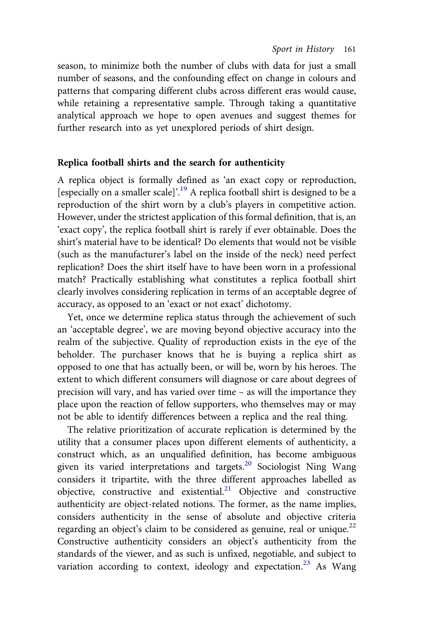season, to minimize both the number of clubs with data for just a small number of seasons, and the confounding effect on change in colours and patterns that comparing different clubs across different eras would cause, while retaining a representative sample. Through taking a quantitative analytical approach we hope to open avenues and suggest themes for further research into as yet unexplored periods of shirt design.

#### Replica football shirts and the search for authenticity

A replica object is formally defined as 'an exact copy or reproduction, [especially on a smaller scale]'.<sup>[19](#page-34-0)</sup> A replica football shirt is designed to be a reproduction of the shirt worn by a club's players in competitive action. However, under the strictest application of this formal definition, that is, an 'exact copy', the replica football shirt is rarely if ever obtainable. Does the shirt's material have to be identical? Do elements that would not be visible (such as the manufacturer's label on the inside of the neck) need perfect replication? Does the shirt itself have to have been worn in a professional match? Practically establishing what constitutes a replica football shirt clearly involves considering replication in terms of an acceptable degree of accuracy, as opposed to an 'exact or not exact' dichotomy.

Yet, once we determine replica status through the achievement of such an 'acceptable degree', we are moving beyond objective accuracy into the realm of the subjective. Quality of reproduction exists in the eye of the beholder. The purchaser knows that he is buying a replica shirt as opposed to one that has actually been, or will be, worn by his heroes. The extent to which different consumers will diagnose or care about degrees of precision will vary, and has varied over time – as will the importance they place upon the reaction of fellow supporters, who themselves may or may not be able to identify differences between a replica and the real thing.

The relative prioritization of accurate replication is determined by the utility that a consumer places upon different elements of authenticity, a construct which, as an unqualified definition, has become ambiguous given its varied interpretations and targets.<sup>[20](#page-34-0)</sup> Sociologist Ning Wang considers it tripartite, with the three different approaches labelled as objective, constructive and existential.<sup>[21](#page-34-0)</sup> Objective and constructive authenticity are object-related notions. The former, as the name implies, considers authenticity in the sense of absolute and objective criteria regarding an object's claim to be considered as genuine, real or unique.<sup>[22](#page-34-0)</sup> Constructive authenticity considers an object's authenticity from the standards of the viewer, and as such is unfixed, negotiable, and subject to variation according to context, ideology and expectation.<sup>[23](#page-34-0)</sup> As Wang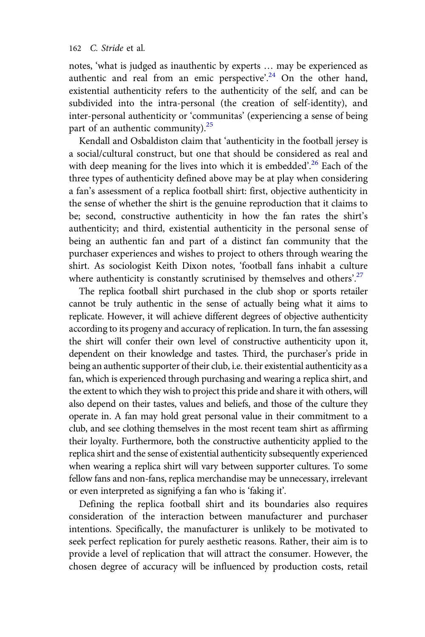notes, 'what is judged as inauthentic by experts … may be experienced as authentic and real from an emic perspective'.<sup>[24](#page-34-0)</sup> On the other hand, existential authenticity refers to the authenticity of the self, and can be subdivided into the intra-personal (the creation of self-identity), and inter-personal authenticity or 'communitas' (experiencing a sense of being part of an authentic community).<sup>[25](#page-34-0)</sup>

Kendall and Osbaldiston claim that 'authenticity in the football jersey is a social/cultural construct, but one that should be considered as real and with deep meaning for the lives into which it is embedded'.<sup>[26](#page-34-0)</sup> Each of the three types of authenticity defined above may be at play when considering a fan's assessment of a replica football shirt: first, objective authenticity in the sense of whether the shirt is the genuine reproduction that it claims to be; second, constructive authenticity in how the fan rates the shirt's authenticity; and third, existential authenticity in the personal sense of being an authentic fan and part of a distinct fan community that the purchaser experiences and wishes to project to others through wearing the shirt. As sociologist Keith Dixon notes, 'football fans inhabit a culture where authenticity is constantly scrutinised by themselves and others'.<sup>[27](#page-34-0)</sup>

The replica football shirt purchased in the club shop or sports retailer cannot be truly authentic in the sense of actually being what it aims to replicate. However, it will achieve different degrees of objective authenticity according to its progeny and accuracy of replication. In turn, the fan assessing the shirt will confer their own level of constructive authenticity upon it, dependent on their knowledge and tastes. Third, the purchaser's pride in being an authentic supporter of their club, i.e. their existential authenticity as a fan, which is experienced through purchasing and wearing a replica shirt, and the extent to which they wish to project this pride and share it with others, will also depend on their tastes, values and beliefs, and those of the culture they operate in. A fan may hold great personal value in their commitment to a club, and see clothing themselves in the most recent team shirt as affirming their loyalty. Furthermore, both the constructive authenticity applied to the replica shirt and the sense of existential authenticity subsequently experienced when wearing a replica shirt will vary between supporter cultures. To some fellow fans and non-fans, replica merchandise may be unnecessary, irrelevant or even interpreted as signifying a fan who is 'faking it'.

Defining the replica football shirt and its boundaries also requires consideration of the interaction between manufacturer and purchaser intentions. Specifically, the manufacturer is unlikely to be motivated to seek perfect replication for purely aesthetic reasons. Rather, their aim is to provide a level of replication that will attract the consumer. However, the chosen degree of accuracy will be influenced by production costs, retail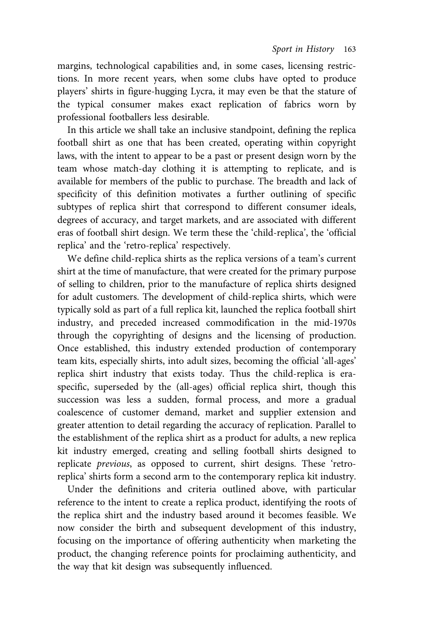<span id="page-9-0"></span>margins, technological capabilities and, in some cases, licensing restrictions. In more recent years, when some clubs have opted to produce players' shirts in figure-hugging Lycra, it may even be that the stature of the typical consumer makes exact replication of fabrics worn by professional footballers less desirable.

In this article we shall take an inclusive standpoint, defining the replica football shirt as one that has been created, operating within copyright laws, with the intent to appear to be a past or present design worn by the team whose match-day clothing it is attempting to replicate, and is available for members of the public to purchase. The breadth and lack of specificity of this definition motivates a further outlining of specific subtypes of replica shirt that correspond to different consumer ideals, degrees of accuracy, and target markets, and are associated with different eras of football shirt design. We term these the 'child-replica', the 'official replica' and the 'retro-replica' respectively.

We define child-replica shirts as the replica versions of a team's current shirt at the time of manufacture, that were created for the primary purpose of selling to children, prior to the manufacture of replica shirts designed for adult customers. The development of child-replica shirts, which were typically sold as part of a full replica kit, launched the replica football shirt industry, and preceded increased commodification in the mid-1970s through the copyrighting of designs and the licensing of production. Once established, this industry extended production of contemporary team kits, especially shirts, into adult sizes, becoming the official 'all-ages' replica shirt industry that exists today. Thus the child-replica is eraspecific, superseded by the (all-ages) official replica shirt, though this succession was less a sudden, formal process, and more a gradual coalescence of customer demand, market and supplier extension and greater attention to detail regarding the accuracy of replication. Parallel to the establishment of the replica shirt as a product for adults, a new replica kit industry emerged, creating and selling football shirts designed to replicate previous, as opposed to current, shirt designs. These 'retroreplica' shirts form a second arm to the contemporary replica kit industry.

Under the definitions and criteria outlined above, with particular reference to the intent to create a replica product, identifying the roots of the replica shirt and the industry based around it becomes feasible. We now consider the birth and subsequent development of this industry, focusing on the importance of offering authenticity when marketing the product, the changing reference points for proclaiming authenticity, and the way that kit design was subsequently influenced.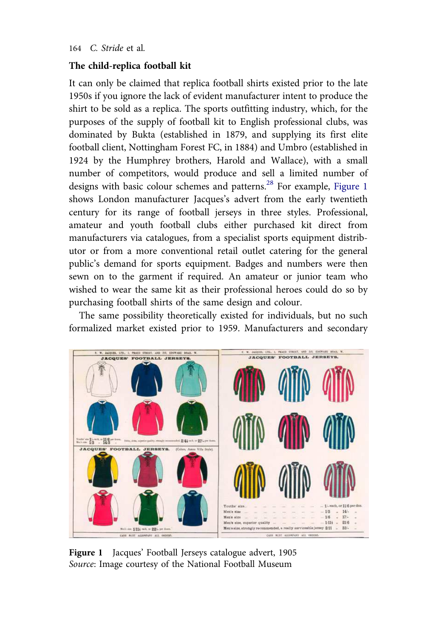#### <span id="page-10-0"></span>The child-replica football kit

It can only be claimed that replica football shirts existed prior to the late 1950s if you ignore the lack of evident manufacturer intent to produce the shirt to be sold as a replica. The sports outfitting industry, which, for the purposes of the supply of football kit to English professional clubs, was dominated by Bukta (established in 1879, and supplying its first elite football client, Nottingham Forest FC, in 1884) and Umbro (established in 1924 by the Humphrey brothers, Harold and Wallace), with a small number of competitors, would produce and sell a limited number of designs with basic colour schemes and patterns.<sup>[28](#page-34-0)</sup> For example, [Figure 1](#page-9-0) shows London manufacturer Jacques's advert from the early twentieth century for its range of football jerseys in three styles. Professional, amateur and youth football clubs either purchased kit direct from manufacturers via catalogues, from a specialist sports equipment distributor or from a more conventional retail outlet catering for the general public's demand for sports equipment. Badges and numbers were then sewn on to the garment if required. An amateur or junior team who wished to wear the same kit as their professional heroes could do so by purchasing football shirts of the same design and colour.

The same possibility theoretically existed for individuals, but no such formalized market existed prior to 1959. Manufacturers and secondary



Figure 1 Jacques' Football Jerseys catalogue advert, 1905 Source: Image courtesy of the National Football Museum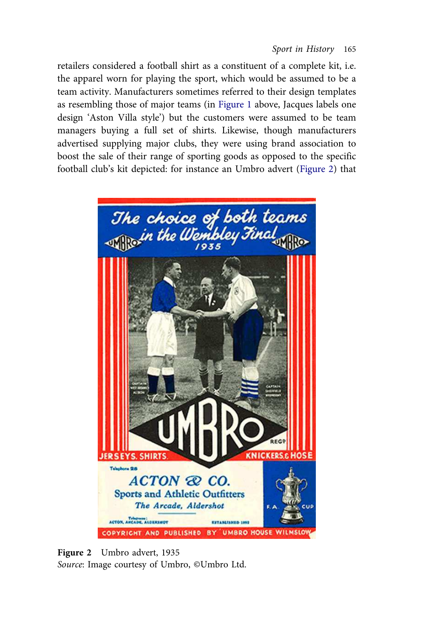<span id="page-11-0"></span>retailers considered a football shirt as a constituent of a complete kit, i.e. the apparel worn for playing the sport, which would be assumed to be a team activity. Manufacturers sometimes referred to their design templates as resembling those of major teams (in [Figure 1](#page-9-0) above, Jacques labels one design 'Aston Villa style') but the customers were assumed to be team managers buying a full set of shirts. Likewise, though manufacturers advertised supplying major clubs, they were using brand association to boost the sale of their range of sporting goods as opposed to the specific football club's kit depicted: for instance an Umbro advert ([Figure 2\)](#page-10-0) that



Figure 2 Umbro advert, 1935 Source: Image courtesy of Umbro, ©Umbro Ltd.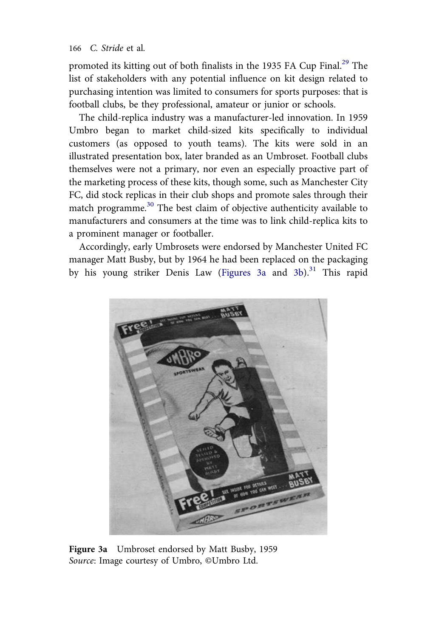promoted its kitting out of both finalists in the 1935 FA Cup Final.<sup>[29](#page-34-0)</sup> The list of stakeholders with any potential influence on kit design related to purchasing intention was limited to consumers for sports purposes: that is football clubs, be they professional, amateur or junior or schools.

The child-replica industry was a manufacturer-led innovation. In 1959 Umbro began to market child-sized kits specifically to individual customers (as opposed to youth teams). The kits were sold in an illustrated presentation box, later branded as an Umbroset. Football clubs themselves were not a primary, nor even an especially proactive part of the marketing process of these kits, though some, such as Manchester City FC, did stock replicas in their club shops and promote sales through their match programme.<sup>[30](#page-34-0)</sup> The best claim of objective authenticity available to manufacturers and consumers at the time was to link child-replica kits to a prominent manager or footballer.

Accordingly, early Umbrosets were endorsed by Manchester United FC manager Matt Busby, but by 1964 he had been replaced on the packaging by his young striker Denis Law [\(Figures 3a](#page-11-0) and 3b).<sup>[31](#page-34-0)</sup> This rapid



Figure 3a Umbroset endorsed by Matt Busby, 1959 Source: Image courtesy of Umbro, ©Umbro Ltd.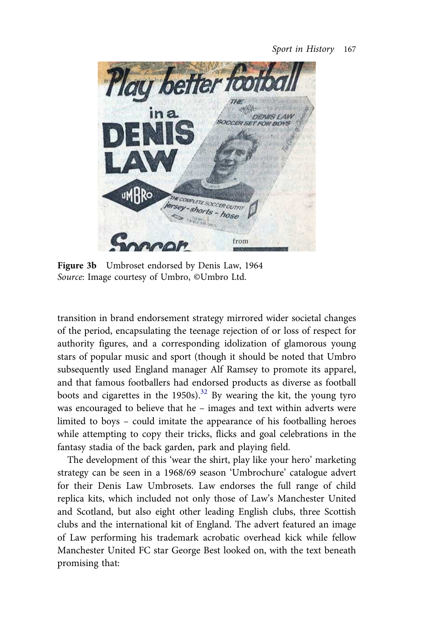

Figure 3b Umbroset endorsed by Denis Law, 1964 Source: Image courtesy of Umbro, ©Umbro Ltd.

transition in brand endorsement strategy mirrored wider societal changes of the period, encapsulating the teenage rejection of or loss of respect for authority figures, and a corresponding idolization of glamorous young stars of popular music and sport (though it should be noted that Umbro subsequently used England manager Alf Ramsey to promote its apparel, and that famous footballers had endorsed products as diverse as football boots and cigarettes in the 1950s).<sup>[32](#page-34-0)</sup> By wearing the kit, the young tyro was encouraged to believe that he – images and text within adverts were limited to boys – could imitate the appearance of his footballing heroes while attempting to copy their tricks, flicks and goal celebrations in the fantasy stadia of the back garden, park and playing field.

The development of this 'wear the shirt, play like your hero' marketing strategy can be seen in a 1968/69 season 'Umbrochure' catalogue advert for their Denis Law Umbrosets. Law endorses the full range of child replica kits, which included not only those of Law's Manchester United and Scotland, but also eight other leading English clubs, three Scottish clubs and the international kit of England. The advert featured an image of Law performing his trademark acrobatic overhead kick while fellow Manchester United FC star George Best looked on, with the text beneath promising that: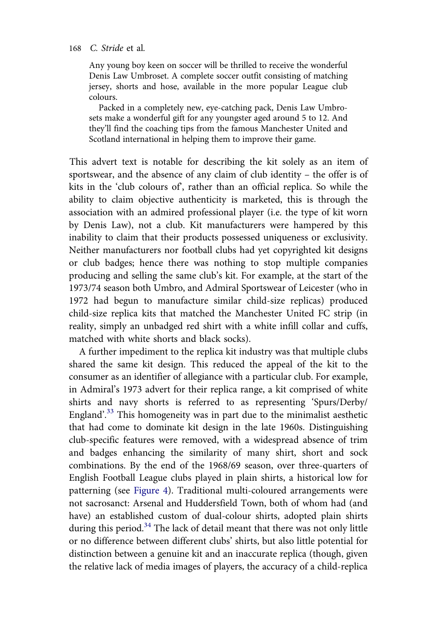<span id="page-14-0"></span>Any young boy keen on soccer will be thrilled to receive the wonderful Denis Law Umbroset. A complete soccer outfit consisting of matching jersey, shorts and hose, available in the more popular League club colours.

Packed in a completely new, eye-catching pack, Denis Law Umbrosets make a wonderful gift for any youngster aged around 5 to 12. And they'll find the coaching tips from the famous Manchester United and Scotland international in helping them to improve their game.

This advert text is notable for describing the kit solely as an item of sportswear, and the absence of any claim of club identity – the offer is of kits in the 'club colours of', rather than an official replica. So while the ability to claim objective authenticity is marketed, this is through the association with an admired professional player (i.e. the type of kit worn by Denis Law), not a club. Kit manufacturers were hampered by this inability to claim that their products possessed uniqueness or exclusivity. Neither manufacturers nor football clubs had yet copyrighted kit designs or club badges; hence there was nothing to stop multiple companies producing and selling the same club's kit. For example, at the start of the 1973/74 season both Umbro, and Admiral Sportswear of Leicester (who in 1972 had begun to manufacture similar child-size replicas) produced child-size replica kits that matched the Manchester United FC strip (in reality, simply an unbadged red shirt with a white infill collar and cuffs, matched with white shorts and black socks).

A further impediment to the replica kit industry was that multiple clubs shared the same kit design. This reduced the appeal of the kit to the consumer as an identifier of allegiance with a particular club. For example, in Admiral's 1973 advert for their replica range, a kit comprised of white shirts and navy shorts is referred to as representing 'Spurs/Derby/ England'.<sup>[33](#page-34-0)</sup> This homogeneity was in part due to the minimalist aesthetic that had come to dominate kit design in the late 1960s. Distinguishing club-specific features were removed, with a widespread absence of trim and badges enhancing the similarity of many shirt, short and sock combinations. By the end of the 1968/69 season, over three-quarters of English Football League clubs played in plain shirts, a historical low for patterning (see Figure 4). Traditional multi-coloured arrangements were not sacrosanct: Arsenal and Huddersfield Town, both of whom had (and have) an established custom of dual-colour shirts, adopted plain shirts during this period.<sup>[34](#page-34-0)</sup> The lack of detail meant that there was not only little or no difference between different clubs' shirts, but also little potential for distinction between a genuine kit and an inaccurate replica (though, given the relative lack of media images of players, the accuracy of a child-replica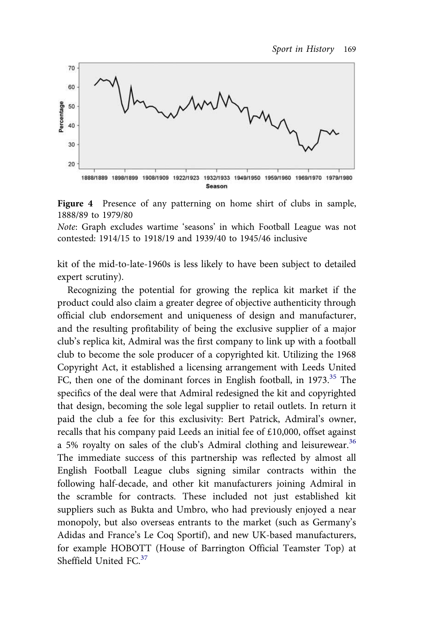



Note: Graph excludes wartime 'seasons' in which Football League was not contested: 1914/15 to 1918/19 and 1939/40 to 1945/46 inclusive

kit of the mid-to-late-1960s is less likely to have been subject to detailed expert scrutiny).

Recognizing the potential for growing the replica kit market if the product could also claim a greater degree of objective authenticity through official club endorsement and uniqueness of design and manufacturer, and the resulting profitability of being the exclusive supplier of a major club's replica kit, Admiral was the first company to link up with a football club to become the sole producer of a copyrighted kit. Utilizing the 1968 Copyright Act, it established a licensing arrangement with Leeds United FC, then one of the dominant forces in English football, in 1973.<sup>[35](#page-35-0)</sup> The specifics of the deal were that Admiral redesigned the kit and copyrighted that design, becoming the sole legal supplier to retail outlets. In return it paid the club a fee for this exclusivity: Bert Patrick, Admiral's owner, recalls that his company paid Leeds an initial fee of £10,000, offset against a 5% royalty on sales of the club's Admiral clothing and leisurewear.<sup>[36](#page-35-0)</sup> The immediate success of this partnership was reflected by almost all English Football League clubs signing similar contracts within the following half-decade, and other kit manufacturers joining Admiral in the scramble for contracts. These included not just established kit suppliers such as Bukta and Umbro, who had previously enjoyed a near monopoly, but also overseas entrants to the market (such as Germany's Adidas and France's Le Coq Sportif), and new UK-based manufacturers, for example HOBOTT (House of Barrington Official Teamster Top) at Sheffield United FC.<sup>[37](#page-35-0)</sup>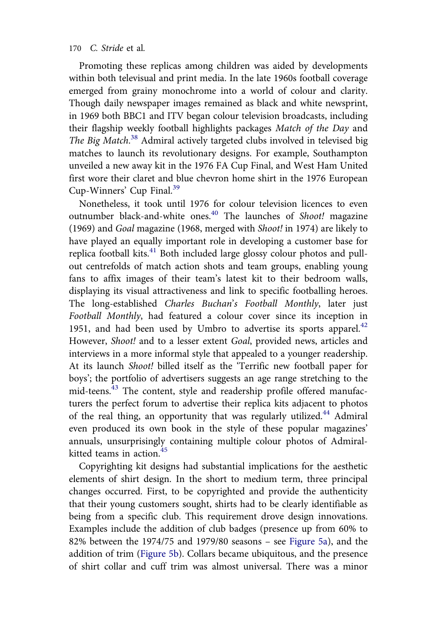<span id="page-16-0"></span>Promoting these replicas among children was aided by developments within both televisual and print media. In the late 1960s football coverage emerged from grainy monochrome into a world of colour and clarity. Though daily newspaper images remained as black and white newsprint, in 1969 both BBC1 and ITV began colour television broadcasts, including their flagship weekly football highlights packages Match of the Day and The Big Match.<sup>[38](#page-35-0)</sup> Admiral actively targeted clubs involved in televised big matches to launch its revolutionary designs. For example, Southampton unveiled a new away kit in the 1976 FA Cup Final, and West Ham United first wore their claret and blue chevron home shirt in the 1976 European Cup-Winners' Cup Final.[39](#page-35-0)

Nonetheless, it took until 1976 for colour television licences to even outnumber black-and-white ones.<sup>[40](#page-35-0)</sup> The launches of Shoot! magazine (1969) and Goal magazine (1968, merged with Shoot! in 1974) are likely to have played an equally important role in developing a customer base for replica football kits.<sup>[41](#page-35-0)</sup> Both included large glossy colour photos and pullout centrefolds of match action shots and team groups, enabling young fans to affix images of their team's latest kit to their bedroom walls, displaying its visual attractiveness and link to specific footballing heroes. The long-established Charles Buchan's Football Monthly, later just Football Monthly, had featured a colour cover since its inception in 1951, and had been used by Umbro to advertise its sports apparel.<sup>[42](#page-35-0)</sup> However, Shoot! and to a lesser extent Goal, provided news, articles and interviews in a more informal style that appealed to a younger readership. At its launch Shoot! billed itself as the 'Terrific new football paper for boys'; the portfolio of advertisers suggests an age range stretching to the mid-teens.[43](#page-35-0) The content, style and readership profile offered manufacturers the perfect forum to advertise their replica kits adjacent to photos of the real thing, an opportunity that was regularly utilized.<sup>[44](#page-35-0)</sup> Admiral even produced its own book in the style of these popular magazines' annuals, unsurprisingly containing multiple colour photos of Admiralkitted teams in action. $45$ 

Copyrighting kit designs had substantial implications for the aesthetic elements of shirt design. In the short to medium term, three principal changes occurred. First, to be copyrighted and provide the authenticity that their young customers sought, shirts had to be clearly identifiable as being from a specific club. This requirement drove design innovations. Examples include the addition of club badges (presence up from 60% to 82% between the 1974/75 and 1979/80 seasons – see Figure 5a), and the addition of trim (Figure 5b). Collars became ubiquitous, and the presence of shirt collar and cuff trim was almost universal. There was a minor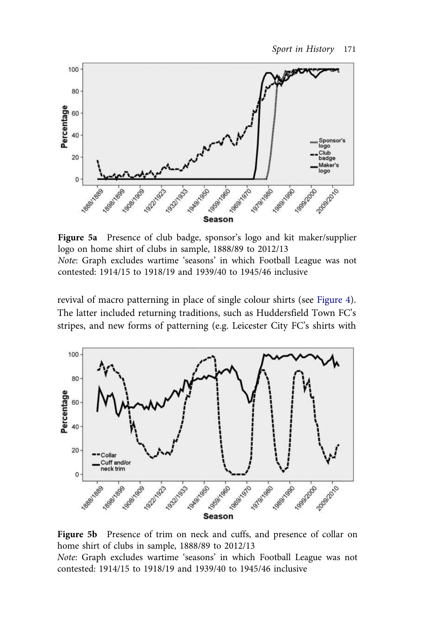

Figure 5a Presence of club badge, sponsor's logo and kit maker/supplier logo on home shirt of clubs in sample, 1888/89 to 2012/13 Note: Graph excludes wartime 'seasons' in which Football League was not contested: 1914/15 to 1918/19 and 1939/40 to 1945/46 inclusive

revival of macro patterning in place of single colour shirts (see [Figure 4\)](#page-14-0). The latter included returning traditions, such as Huddersfield Town FC's stripes, and new forms of patterning (e.g. Leicester City FC's shirts with



Figure 5b Presence of trim on neck and cuffs, and presence of collar on home shirt of clubs in sample, 1888/89 to 2012/13 Note: Graph excludes wartime 'seasons' in which Football League was not contested: 1914/15 to 1918/19 and 1939/40 to 1945/46 inclusive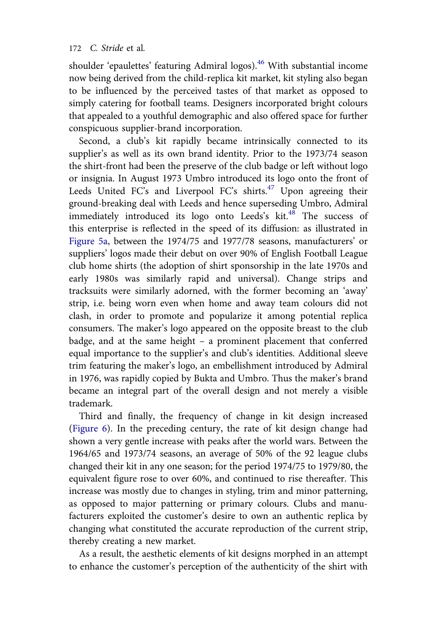<span id="page-18-0"></span>shoulder 'epaulettes' featuring Admiral logos).<sup>[46](#page-35-0)</sup> With substantial income now being derived from the child-replica kit market, kit styling also began to be influenced by the perceived tastes of that market as opposed to simply catering for football teams. Designers incorporated bright colours that appealed to a youthful demographic and also offered space for further conspicuous supplier-brand incorporation.

Second, a club's kit rapidly became intrinsically connected to its supplier's as well as its own brand identity. Prior to the 1973/74 season the shirt-front had been the preserve of the club badge or left without logo or insignia. In August 1973 Umbro introduced its logo onto the front of Leeds United FC's and Liverpool FC's shirts.<sup>[47](#page-35-0)</sup> Upon agreeing their ground-breaking deal with Leeds and hence superseding Umbro, Admiral immediately introduced its logo onto Leeds's  $kit$ .<sup>[48](#page-35-0)</sup> The success of this enterprise is reflected in the speed of its diffusion: as illustrated in [Figure 5a](#page-16-0), between the 1974/75 and 1977/78 seasons, manufacturers' or suppliers' logos made their debut on over 90% of English Football League club home shirts (the adoption of shirt sponsorship in the late 1970s and early 1980s was similarly rapid and universal). Change strips and tracksuits were similarly adorned, with the former becoming an 'away' strip, i.e. being worn even when home and away team colours did not clash, in order to promote and popularize it among potential replica consumers. The maker's logo appeared on the opposite breast to the club badge, and at the same height – a prominent placement that conferred equal importance to the supplier's and club's identities. Additional sleeve trim featuring the maker's logo, an embellishment introduced by Admiral in 1976, was rapidly copied by Bukta and Umbro. Thus the maker's brand became an integral part of the overall design and not merely a visible trademark.

Third and finally, the frequency of change in kit design increased (Figure 6). In the preceding century, the rate of kit design change had shown a very gentle increase with peaks after the world wars. Between the 1964/65 and 1973/74 seasons, an average of 50% of the 92 league clubs changed their kit in any one season; for the period 1974/75 to 1979/80, the equivalent figure rose to over 60%, and continued to rise thereafter. This increase was mostly due to changes in styling, trim and minor patterning, as opposed to major patterning or primary colours. Clubs and manufacturers exploited the customer's desire to own an authentic replica by changing what constituted the accurate reproduction of the current strip, thereby creating a new market.

As a result, the aesthetic elements of kit designs morphed in an attempt to enhance the customer's perception of the authenticity of the shirt with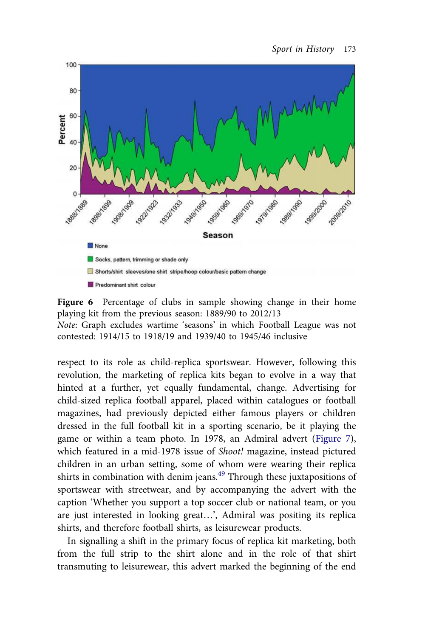

Figure 6 Percentage of clubs in sample showing change in their home playing kit from the previous season: 1889/90 to 2012/13

Note: Graph excludes wartime 'seasons' in which Football League was not contested: 1914/15 to 1918/19 and 1939/40 to 1945/46 inclusive

respect to its role as child-replica sportswear. However, following this revolution, the marketing of replica kits began to evolve in a way that hinted at a further, yet equally fundamental, change. Advertising for child-sized replica football apparel, placed within catalogues or football magazines, had previously depicted either famous players or children dressed in the full football kit in a sporting scenario, be it playing the game or within a team photo. In 1978, an Admiral advert (Figure 7), which featured in a mid-1978 issue of Shoot! magazine, instead pictured children in an urban setting, some of whom were wearing their replica shirts in combination with denim jeans.<sup>[49](#page-35-0)</sup> Through these juxtapositions of sportswear with streetwear, and by accompanying the advert with the caption 'Whether you support a top soccer club or national team, or you are just interested in looking great…', Admiral was positing its replica shirts, and therefore football shirts, as leisurewear products.

In signalling a shift in the primary focus of replica kit marketing, both from the full strip to the shirt alone and in the role of that shirt transmuting to leisurewear, this advert marked the beginning of the end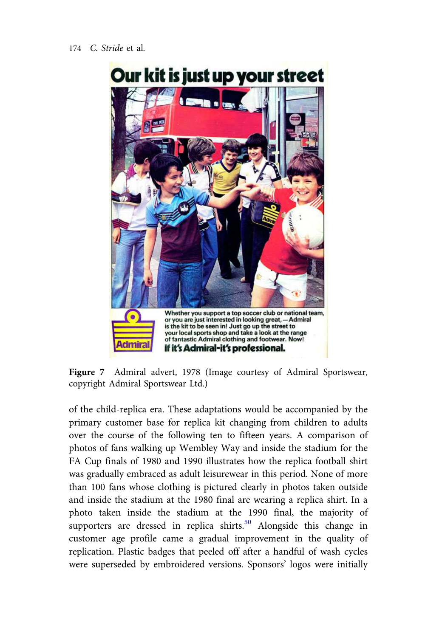

Figure 7 Admiral advert, 1978 (Image courtesy of Admiral Sportswear, copyright Admiral Sportswear Ltd.)

of the child-replica era. These adaptations would be accompanied by the primary customer base for replica kit changing from children to adults over the course of the following ten to fifteen years. A comparison of photos of fans walking up Wembley Way and inside the stadium for the FA Cup finals of 1980 and 1990 illustrates how the replica football shirt was gradually embraced as adult leisurewear in this period. None of more than 100 fans whose clothing is pictured clearly in photos taken outside and inside the stadium at the 1980 final are wearing a replica shirt. In a photo taken inside the stadium at the 1990 final, the majority of supporters are dressed in replica shirts.<sup>[50](#page-35-0)</sup> Alongside this change in customer age profile came a gradual improvement in the quality of replication. Plastic badges that peeled off after a handful of wash cycles were superseded by embroidered versions. Sponsors' logos were initially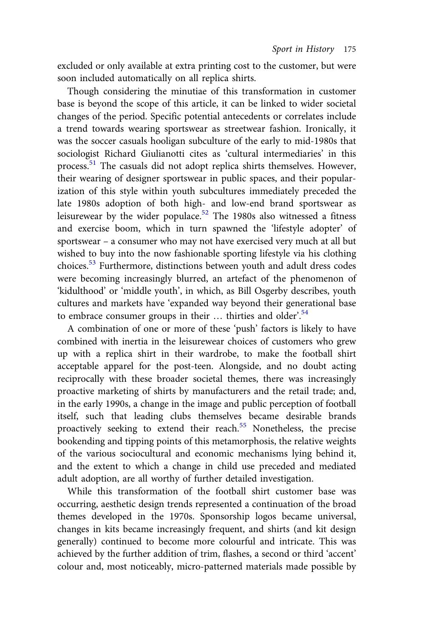excluded or only available at extra printing cost to the customer, but were soon included automatically on all replica shirts.

Though considering the minutiae of this transformation in customer base is beyond the scope of this article, it can be linked to wider societal changes of the period. Specific potential antecedents or correlates include a trend towards wearing sportswear as streetwear fashion. Ironically, it was the soccer casuals hooligan subculture of the early to mid-1980s that sociologist Richard Giulianotti cites as 'cultural intermediaries' in this process.[51](#page-36-0) The casuals did not adopt replica shirts themselves. However, their wearing of designer sportswear in public spaces, and their popularization of this style within youth subcultures immediately preceded the late 1980s adoption of both high- and low-end brand sportswear as leisurewear by the wider populace.<sup>[52](#page-36-0)</sup> The 1980s also witnessed a fitness and exercise boom, which in turn spawned the 'lifestyle adopter' of sportswear – a consumer who may not have exercised very much at all but wished to buy into the now fashionable sporting lifestyle via his clothing choices.[53](#page-36-0) Furthermore, distinctions between youth and adult dress codes were becoming increasingly blurred, an artefact of the phenomenon of 'kidulthood' or 'middle youth', in which, as Bill Osgerby describes, youth cultures and markets have 'expanded way beyond their generational base to embrace consumer groups in their ... thirties and older'.<sup>[54](#page-36-0)</sup>

A combination of one or more of these 'push' factors is likely to have combined with inertia in the leisurewear choices of customers who grew up with a replica shirt in their wardrobe, to make the football shirt acceptable apparel for the post-teen. Alongside, and no doubt acting reciprocally with these broader societal themes, there was increasingly proactive marketing of shirts by manufacturers and the retail trade; and, in the early 1990s, a change in the image and public perception of football itself, such that leading clubs themselves became desirable brands proactively seeking to extend their reach.<sup>[55](#page-36-0)</sup> Nonetheless, the precise bookending and tipping points of this metamorphosis, the relative weights of the various sociocultural and economic mechanisms lying behind it, and the extent to which a change in child use preceded and mediated adult adoption, are all worthy of further detailed investigation.

While this transformation of the football shirt customer base was occurring, aesthetic design trends represented a continuation of the broad themes developed in the 1970s. Sponsorship logos became universal, changes in kits became increasingly frequent, and shirts (and kit design generally) continued to become more colourful and intricate. This was achieved by the further addition of trim, flashes, a second or third 'accent' colour and, most noticeably, micro-patterned materials made possible by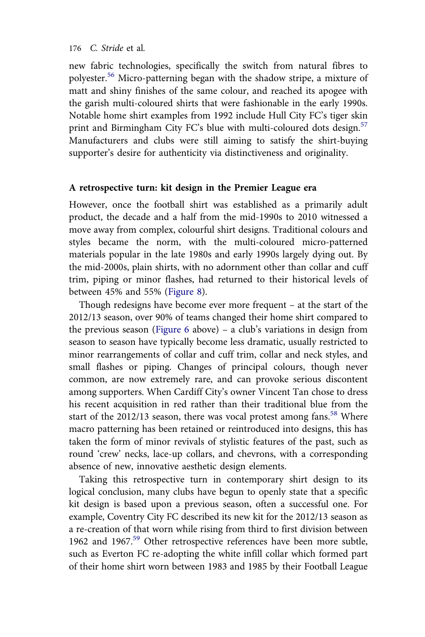<span id="page-22-0"></span>new fabric technologies, specifically the switch from natural fibres to polyester.[56](#page-36-0) Micro-patterning began with the shadow stripe, a mixture of matt and shiny finishes of the same colour, and reached its apogee with the garish multi-coloured shirts that were fashionable in the early 1990s. Notable home shirt examples from 1992 include Hull City FC's tiger skin print and Birmingham City FC's blue with multi-coloured dots design.<sup>[57](#page-36-0)</sup> Manufacturers and clubs were still aiming to satisfy the shirt-buying supporter's desire for authenticity via distinctiveness and originality.

#### A retrospective turn: kit design in the Premier League era

However, once the football shirt was established as a primarily adult product, the decade and a half from the mid-1990s to 2010 witnessed a move away from complex, colourful shirt designs. Traditional colours and styles became the norm, with the multi-coloured micro-patterned materials popular in the late 1980s and early 1990s largely dying out. By the mid-2000s, plain shirts, with no adornment other than collar and cuff trim, piping or minor flashes, had returned to their historical levels of between 45% and 55% (Figure 8).

Though redesigns have become ever more frequent – at the start of the 2012/13 season, over 90% of teams changed their home shirt compared to the previous season ([Figure 6](#page-18-0) above) – a club's variations in design from season to season have typically become less dramatic, usually restricted to minor rearrangements of collar and cuff trim, collar and neck styles, and small flashes or piping. Changes of principal colours, though never common, are now extremely rare, and can provoke serious discontent among supporters. When Cardiff City's owner Vincent Tan chose to dress his recent acquisition in red rather than their traditional blue from the start of the 2012/13 season, there was vocal protest among fans.<sup>[58](#page-36-0)</sup> Where macro patterning has been retained or reintroduced into designs, this has taken the form of minor revivals of stylistic features of the past, such as round 'crew' necks, lace-up collars, and chevrons, with a corresponding absence of new, innovative aesthetic design elements.

Taking this retrospective turn in contemporary shirt design to its logical conclusion, many clubs have begun to openly state that a specific kit design is based upon a previous season, often a successful one. For example, Coventry City FC described its new kit for the 2012/13 season as a re-creation of that worn while rising from third to first division between 1962 and 1967.<sup>[59](#page-36-0)</sup> Other retrospective references have been more subtle, such as Everton FC re-adopting the white infill collar which formed part of their home shirt worn between 1983 and 1985 by their Football League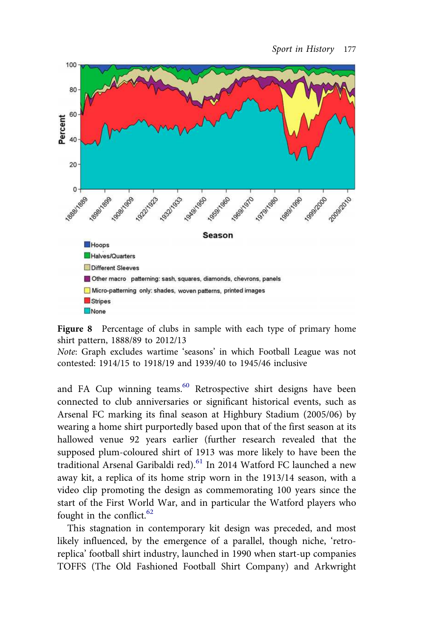

Figure 8 Percentage of clubs in sample with each type of primary home shirt pattern, 1888/89 to 2012/13

Note: Graph excludes wartime 'seasons' in which Football League was not contested: 1914/15 to 1918/19 and 1939/40 to 1945/46 inclusive

and FA Cup winning teams.<sup>[60](#page-36-0)</sup> Retrospective shirt designs have been connected to club anniversaries or significant historical events, such as Arsenal FC marking its final season at Highbury Stadium (2005/06) by wearing a home shirt purportedly based upon that of the first season at its hallowed venue 92 years earlier (further research revealed that the supposed plum-coloured shirt of 1913 was more likely to have been the traditional Arsenal Garibaldi red).<sup>[61](#page-36-0)</sup> In 2014 Watford FC launched a new away kit, a replica of its home strip worn in the 1913/14 season, with a video clip promoting the design as commemorating 100 years since the start of the First World War, and in particular the Watford players who fought in the conflict.<sup>[62](#page-36-0)</sup>

This stagnation in contemporary kit design was preceded, and most likely influenced, by the emergence of a parallel, though niche, 'retroreplica' football shirt industry, launched in 1990 when start-up companies TOFFS (The Old Fashioned Football Shirt Company) and Arkwright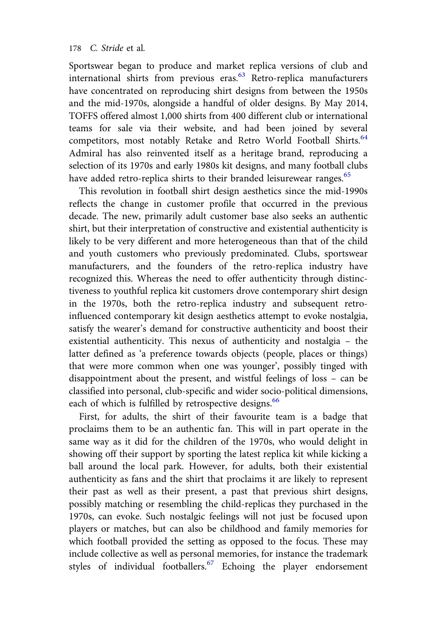Sportswear began to produce and market replica versions of club and international shirts from previous eras.<sup>[63](#page-36-0)</sup> Retro-replica manufacturers have concentrated on reproducing shirt designs from between the 1950s and the mid-1970s, alongside a handful of older designs. By May 2014, TOFFS offered almost 1,000 shirts from 400 different club or international teams for sale via their website, and had been joined by several competitors, most notably Retake and Retro World Football Shirts.<sup>[64](#page-36-0)</sup> Admiral has also reinvented itself as a heritage brand, reproducing a selection of its 1970s and early 1980s kit designs, and many football clubs have added retro-replica shirts to their branded leisurewear ranges.<sup>[65](#page-37-0)</sup>

This revolution in football shirt design aesthetics since the mid-1990s reflects the change in customer profile that occurred in the previous decade. The new, primarily adult customer base also seeks an authentic shirt, but their interpretation of constructive and existential authenticity is likely to be very different and more heterogeneous than that of the child and youth customers who previously predominated. Clubs, sportswear manufacturers, and the founders of the retro-replica industry have recognized this. Whereas the need to offer authenticity through distinctiveness to youthful replica kit customers drove contemporary shirt design in the 1970s, both the retro-replica industry and subsequent retroinfluenced contemporary kit design aesthetics attempt to evoke nostalgia, satisfy the wearer's demand for constructive authenticity and boost their existential authenticity. This nexus of authenticity and nostalgia – the latter defined as 'a preference towards objects (people, places or things) that were more common when one was younger', possibly tinged with disappointment about the present, and wistful feelings of loss – can be classified into personal, club-specific and wider socio-political dimensions, each of which is fulfilled by retrospective designs.<sup>[66](#page-37-0)</sup>

First, for adults, the shirt of their favourite team is a badge that proclaims them to be an authentic fan. This will in part operate in the same way as it did for the children of the 1970s, who would delight in showing off their support by sporting the latest replica kit while kicking a ball around the local park. However, for adults, both their existential authenticity as fans and the shirt that proclaims it are likely to represent their past as well as their present, a past that previous shirt designs, possibly matching or resembling the child-replicas they purchased in the 1970s, can evoke. Such nostalgic feelings will not just be focused upon players or matches, but can also be childhood and family memories for which football provided the setting as opposed to the focus. These may include collective as well as personal memories, for instance the trademark styles of individual footballers.<sup>[67](#page-37-0)</sup> Echoing the player endorsement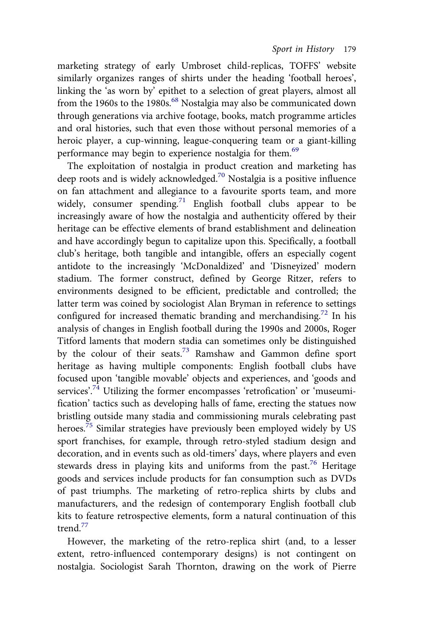marketing strategy of early Umbroset child-replicas, TOFFS' website similarly organizes ranges of shirts under the heading 'football heroes', linking the 'as worn by' epithet to a selection of great players, almost all from the 1960s to the 1980s.<sup>[68](#page-37-0)</sup> Nostalgia may also be communicated down through generations via archive footage, books, match programme articles and oral histories, such that even those without personal memories of a heroic player, a cup-winning, league-conquering team or a giant-killing performance may begin to experience nostalgia for them.<sup>[69](#page-37-0)</sup>

The exploitation of nostalgia in product creation and marketing has deep roots and is widely acknowledged.<sup>[70](#page-37-0)</sup> Nostalgia is a positive influence on fan attachment and allegiance to a favourite sports team, and more widely, consumer spending.<sup>[71](#page-37-0)</sup> English football clubs appear to be increasingly aware of how the nostalgia and authenticity offered by their heritage can be effective elements of brand establishment and delineation and have accordingly begun to capitalize upon this. Specifically, a football club's heritage, both tangible and intangible, offers an especially cogent antidote to the increasingly 'McDonaldized' and 'Disneyized' modern stadium. The former construct, defined by George Ritzer, refers to environments designed to be efficient, predictable and controlled; the latter term was coined by sociologist Alan Bryman in reference to settings configured for increased thematic branding and merchandising.<sup>[72](#page-37-0)</sup> In his analysis of changes in English football during the 1990s and 2000s, Roger Titford laments that modern stadia can sometimes only be distinguished by the colour of their seats.<sup>[73](#page-37-0)</sup> Ramshaw and Gammon define sport heritage as having multiple components: English football clubs have focused upon 'tangible movable' objects and experiences, and 'goods and services'.<sup>[74](#page-37-0)</sup> Utilizing the former encompasses 'retrofication' or 'museumification' tactics such as developing halls of fame, erecting the statues now bristling outside many stadia and commissioning murals celebrating past heroes.<sup>[75](#page-37-0)</sup> Similar strategies have previously been employed widely by US sport franchises, for example, through retro-styled stadium design and decoration, and in events such as old-timers' days, where players and even stewards dress in playing kits and uniforms from the past.<sup>[76](#page-37-0)</sup> Heritage goods and services include products for fan consumption such as DVDs of past triumphs. The marketing of retro-replica shirts by clubs and manufacturers, and the redesign of contemporary English football club kits to feature retrospective elements, form a natural continuation of this trend.<sup>[77](#page-37-0)</sup>

However, the marketing of the retro-replica shirt (and, to a lesser extent, retro-influenced contemporary designs) is not contingent on nostalgia. Sociologist Sarah Thornton, drawing on the work of Pierre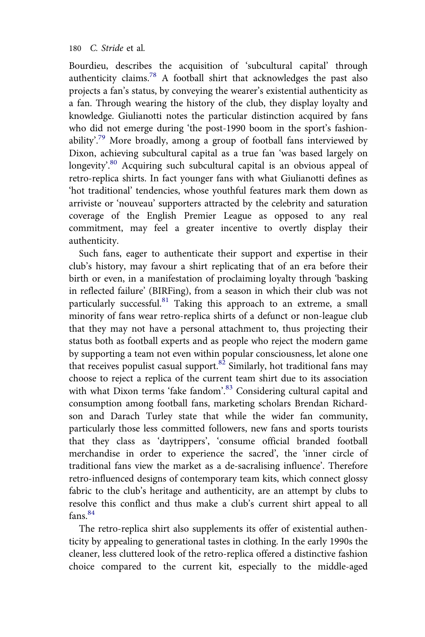Bourdieu, describes the acquisition of 'subcultural capital' through authenticity claims.[78](#page-38-0) A football shirt that acknowledges the past also projects a fan's status, by conveying the wearer's existential authenticity as a fan. Through wearing the history of the club, they display loyalty and knowledge. Giulianotti notes the particular distinction acquired by fans who did not emerge during 'the post-1990 boom in the sport's fashion-ability'.<sup>[79](#page-38-0)</sup> More broadly, among a group of football fans interviewed by Dixon, achieving subcultural capital as a true fan 'was based largely on longevity'.<sup>[80](#page-38-0)</sup> Acquiring such subcultural capital is an obvious appeal of retro-replica shirts. In fact younger fans with what Giulianotti defines as 'hot traditional' tendencies, whose youthful features mark them down as arriviste or 'nouveau' supporters attracted by the celebrity and saturation coverage of the English Premier League as opposed to any real commitment, may feel a greater incentive to overtly display their authenticity.

Such fans, eager to authenticate their support and expertise in their club's history, may favour a shirt replicating that of an era before their birth or even, in a manifestation of proclaiming loyalty through 'basking in reflected failure' (BIRFing), from a season in which their club was not particularly successful.<sup>[81](#page-38-0)</sup> Taking this approach to an extreme, a small minority of fans wear retro-replica shirts of a defunct or non-league club that they may not have a personal attachment to, thus projecting their status both as football experts and as people who reject the modern game by supporting a team not even within popular consciousness, let alone one that receives populist casual support. $82$  Similarly, hot traditional fans may choose to reject a replica of the current team shirt due to its association with what Dixon terms 'fake fandom'.<sup>[83](#page-38-0)</sup> Considering cultural capital and consumption among football fans, marketing scholars Brendan Richardson and Darach Turley state that while the wider fan community, particularly those less committed followers, new fans and sports tourists that they class as 'daytrippers', 'consume official branded football merchandise in order to experience the sacred', the 'inner circle of traditional fans view the market as a de-sacralising influence'. Therefore retro-influenced designs of contemporary team kits, which connect glossy fabric to the club's heritage and authenticity, are an attempt by clubs to resolve this conflict and thus make a club's current shirt appeal to all  $fans<sup>84</sup>$  $fans<sup>84</sup>$  $fans<sup>84</sup>$ 

The retro-replica shirt also supplements its offer of existential authenticity by appealing to generational tastes in clothing. In the early 1990s the cleaner, less cluttered look of the retro-replica offered a distinctive fashion choice compared to the current kit, especially to the middle-aged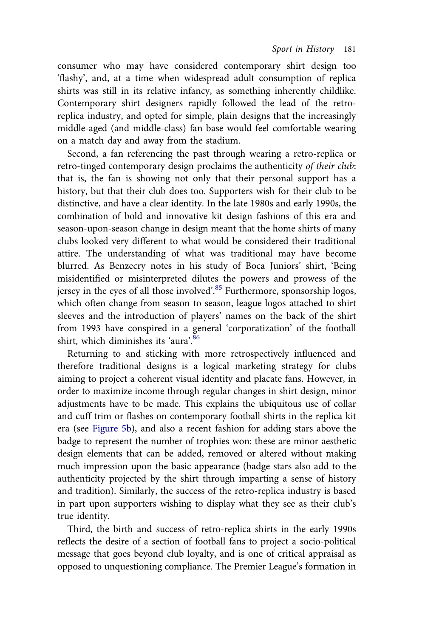consumer who may have considered contemporary shirt design too 'flashy', and, at a time when widespread adult consumption of replica shirts was still in its relative infancy, as something inherently childlike. Contemporary shirt designers rapidly followed the lead of the retroreplica industry, and opted for simple, plain designs that the increasingly middle-aged (and middle-class) fan base would feel comfortable wearing on a match day and away from the stadium.

Second, a fan referencing the past through wearing a retro-replica or retro-tinged contemporary design proclaims the authenticity of their club: that is, the fan is showing not only that their personal support has a history, but that their club does too. Supporters wish for their club to be distinctive, and have a clear identity. In the late 1980s and early 1990s, the combination of bold and innovative kit design fashions of this era and season-upon-season change in design meant that the home shirts of many clubs looked very different to what would be considered their traditional attire. The understanding of what was traditional may have become blurred. As Benzecry notes in his study of Boca Juniors' shirt, 'Being misidentified or misinterpreted dilutes the powers and prowess of the jersey in the eyes of all those involved'.<sup>[85](#page-38-0)</sup> Furthermore, sponsorship logos, which often change from season to season, league logos attached to shirt sleeves and the introduction of players' names on the back of the shirt from 1993 have conspired in a general 'corporatization' of the football shirt, which diminishes its 'aura'. [86](#page-38-0)

Returning to and sticking with more retrospectively influenced and therefore traditional designs is a logical marketing strategy for clubs aiming to project a coherent visual identity and placate fans. However, in order to maximize income through regular changes in shirt design, minor adjustments have to be made. This explains the ubiquitous use of collar and cuff trim or flashes on contemporary football shirts in the replica kit era (see [Figure 5b\)](#page-16-0), and also a recent fashion for adding stars above the badge to represent the number of trophies won: these are minor aesthetic design elements that can be added, removed or altered without making much impression upon the basic appearance (badge stars also add to the authenticity projected by the shirt through imparting a sense of history and tradition). Similarly, the success of the retro-replica industry is based in part upon supporters wishing to display what they see as their club's true identity.

Third, the birth and success of retro-replica shirts in the early 1990s reflects the desire of a section of football fans to project a socio-political message that goes beyond club loyalty, and is one of critical appraisal as opposed to unquestioning compliance. The Premier League's formation in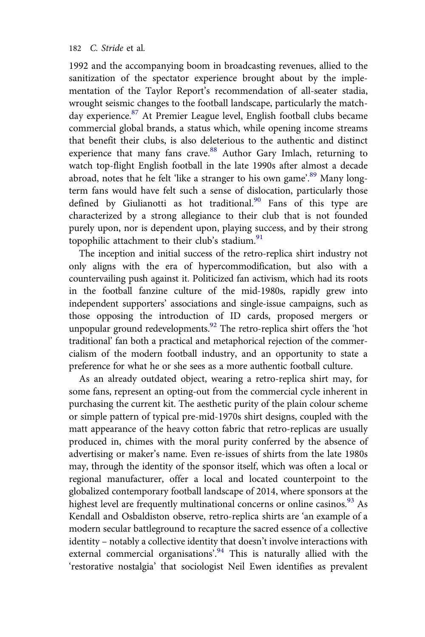1992 and the accompanying boom in broadcasting revenues, allied to the sanitization of the spectator experience brought about by the implementation of the Taylor Report's recommendation of all-seater stadia, wrought seismic changes to the football landscape, particularly the match-day experience.<sup>[87](#page-38-0)</sup> At Premier League level, English football clubs became commercial global brands, a status which, while opening income streams that benefit their clubs, is also deleterious to the authentic and distinct experience that many fans crave.<sup>[88](#page-38-0)</sup> Author Gary Imlach, returning to watch top-flight English football in the late 1990s after almost a decade abroad, notes that he felt 'like a stranger to his own game'.<sup>[89](#page-38-0)</sup> Many longterm fans would have felt such a sense of dislocation, particularly those defined by Giulianotti as hot traditional.<sup>[90](#page-38-0)</sup> Fans of this type are characterized by a strong allegiance to their club that is not founded purely upon, nor is dependent upon, playing success, and by their strong topophilic attachment to their club's stadium.<sup>[91](#page-38-0)</sup>

The inception and initial success of the retro-replica shirt industry not only aligns with the era of hypercommodification, but also with a countervailing push against it. Politicized fan activism, which had its roots in the football fanzine culture of the mid-1980s, rapidly grew into independent supporters' associations and single-issue campaigns, such as those opposing the introduction of ID cards, proposed mergers or unpopular ground redevelopments.<sup>[92](#page-38-0)</sup> The retro-replica shirt offers the 'hot traditional' fan both a practical and metaphorical rejection of the commercialism of the modern football industry, and an opportunity to state a preference for what he or she sees as a more authentic football culture.

As an already outdated object, wearing a retro-replica shirt may, for some fans, represent an opting-out from the commercial cycle inherent in purchasing the current kit. The aesthetic purity of the plain colour scheme or simple pattern of typical pre-mid-1970s shirt designs, coupled with the matt appearance of the heavy cotton fabric that retro-replicas are usually produced in, chimes with the moral purity conferred by the absence of advertising or maker's name. Even re-issues of shirts from the late 1980s may, through the identity of the sponsor itself, which was often a local or regional manufacturer, offer a local and located counterpoint to the globalized contemporary football landscape of 2014, where sponsors at the highest level are frequently multinational concerns or online casinos.<sup>[93](#page-38-0)</sup> As Kendall and Osbaldiston observe, retro-replica shirts are 'an example of a modern secular battleground to recapture the sacred essence of a collective identity – notably a collective identity that doesn't involve interactions with external commercial organisations'.<sup>[94](#page-38-0)</sup> This is naturally allied with the 'restorative nostalgia' that sociologist Neil Ewen identifies as prevalent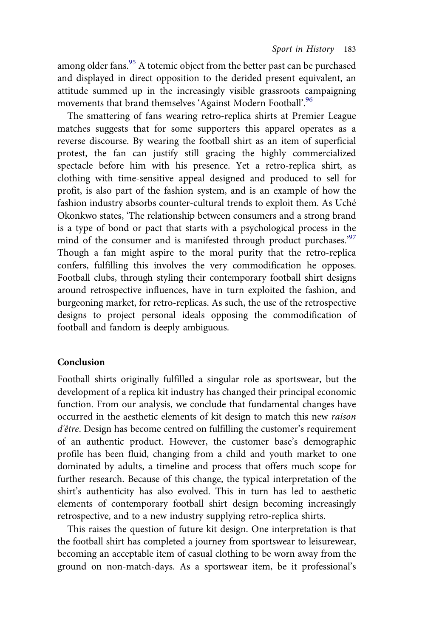among older fans. $95$  A totemic object from the better past can be purchased and displayed in direct opposition to the derided present equivalent, an attitude summed up in the increasingly visible grassroots campaigning movements that brand themselves 'Against Modern Football'.<sup>[96](#page-38-0)</sup>

The smattering of fans wearing retro-replica shirts at Premier League matches suggests that for some supporters this apparel operates as a reverse discourse. By wearing the football shirt as an item of superficial protest, the fan can justify still gracing the highly commercialized spectacle before him with his presence. Yet a retro-replica shirt, as clothing with time-sensitive appeal designed and produced to sell for profit, is also part of the fashion system, and is an example of how the fashion industry absorbs counter-cultural trends to exploit them. As Uché Okonkwo states, 'The relationship between consumers and a strong brand is a type of bond or pact that starts with a psychological process in the mind of the consumer and is manifested through product purchases.'[97](#page-38-0) Though a fan might aspire to the moral purity that the retro-replica confers, fulfilling this involves the very commodification he opposes. Football clubs, through styling their contemporary football shirt designs around retrospective influences, have in turn exploited the fashion, and burgeoning market, for retro-replicas. As such, the use of the retrospective designs to project personal ideals opposing the commodification of football and fandom is deeply ambiguous.

#### Conclusion

Football shirts originally fulfilled a singular role as sportswear, but the development of a replica kit industry has changed their principal economic function. From our analysis, we conclude that fundamental changes have occurred in the aesthetic elements of kit design to match this new raison d'être. Design has become centred on fulfilling the customer's requirement of an authentic product. However, the customer base's demographic profile has been fluid, changing from a child and youth market to one dominated by adults, a timeline and process that offers much scope for further research. Because of this change, the typical interpretation of the shirt's authenticity has also evolved. This in turn has led to aesthetic elements of contemporary football shirt design becoming increasingly retrospective, and to a new industry supplying retro-replica shirts.

This raises the question of future kit design. One interpretation is that the football shirt has completed a journey from sportswear to leisurewear, becoming an acceptable item of casual clothing to be worn away from the ground on non-match-days. As a sportswear item, be it professional's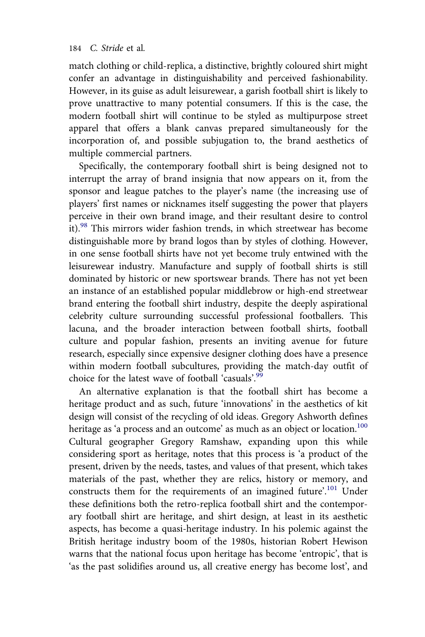match clothing or child-replica, a distinctive, brightly coloured shirt might confer an advantage in distinguishability and perceived fashionability. However, in its guise as adult leisurewear, a garish football shirt is likely to prove unattractive to many potential consumers. If this is the case, the modern football shirt will continue to be styled as multipurpose street apparel that offers a blank canvas prepared simultaneously for the incorporation of, and possible subjugation to, the brand aesthetics of multiple commercial partners.

Specifically, the contemporary football shirt is being designed not to interrupt the array of brand insignia that now appears on it, from the sponsor and league patches to the player's name (the increasing use of players' first names or nicknames itself suggesting the power that players perceive in their own brand image, and their resultant desire to control it).[98](#page-38-0) This mirrors wider fashion trends, in which streetwear has become distinguishable more by brand logos than by styles of clothing. However, in one sense football shirts have not yet become truly entwined with the leisurewear industry. Manufacture and supply of football shirts is still dominated by historic or new sportswear brands. There has not yet been an instance of an established popular middlebrow or high-end streetwear brand entering the football shirt industry, despite the deeply aspirational celebrity culture surrounding successful professional footballers. This lacuna, and the broader interaction between football shirts, football culture and popular fashion, presents an inviting avenue for future research, especially since expensive designer clothing does have a presence within modern football subcultures, providing the match-day outfit of choice for the latest wave of football 'casuals'.<sup>[99](#page-38-0)</sup>

An alternative explanation is that the football shirt has become a heritage product and as such, future 'innovations' in the aesthetics of kit design will consist of the recycling of old ideas. Gregory Ashworth defines heritage as 'a process and an outcome' as much as an object or location.<sup>[100](#page-39-0)</sup> Cultural geographer Gregory Ramshaw, expanding upon this while considering sport as heritage, notes that this process is 'a product of the present, driven by the needs, tastes, and values of that present, which takes materials of the past, whether they are relics, history or memory, and constructs them for the requirements of an imagined future'.<sup>[101](#page-39-0)</sup> Under these definitions both the retro-replica football shirt and the contemporary football shirt are heritage, and shirt design, at least in its aesthetic aspects, has become a quasi-heritage industry. In his polemic against the British heritage industry boom of the 1980s, historian Robert Hewison warns that the national focus upon heritage has become 'entropic', that is 'as the past solidifies around us, all creative energy has become lost', and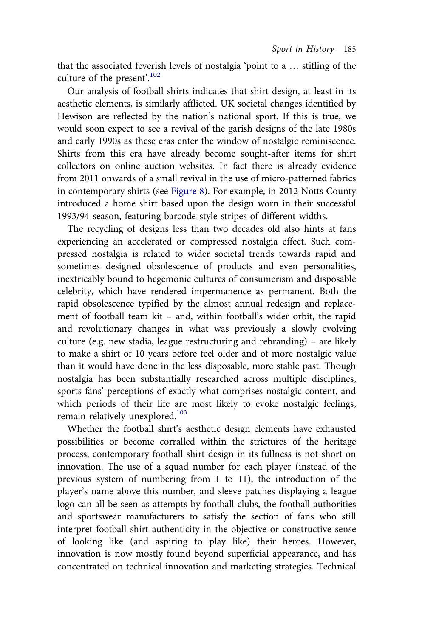that the associated feverish levels of nostalgia 'point to a … stifling of the culture of the present'. [102](#page-39-0)

Our analysis of football shirts indicates that shirt design, at least in its aesthetic elements, is similarly afflicted. UK societal changes identified by Hewison are reflected by the nation's national sport. If this is true, we would soon expect to see a revival of the garish designs of the late 1980s and early 1990s as these eras enter the window of nostalgic reminiscence. Shirts from this era have already become sought-after items for shirt collectors on online auction websites. In fact there is already evidence from 2011 onwards of a small revival in the use of micro-patterned fabrics in contemporary shirts (see [Figure 8](#page-22-0)). For example, in 2012 Notts County introduced a home shirt based upon the design worn in their successful 1993/94 season, featuring barcode-style stripes of different widths.

The recycling of designs less than two decades old also hints at fans experiencing an accelerated or compressed nostalgia effect. Such compressed nostalgia is related to wider societal trends towards rapid and sometimes designed obsolescence of products and even personalities, inextricably bound to hegemonic cultures of consumerism and disposable celebrity, which have rendered impermanence as permanent. Both the rapid obsolescence typified by the almost annual redesign and replacement of football team kit – and, within football's wider orbit, the rapid and revolutionary changes in what was previously a slowly evolving culture (e.g. new stadia, league restructuring and rebranding) – are likely to make a shirt of 10 years before feel older and of more nostalgic value than it would have done in the less disposable, more stable past. Though nostalgia has been substantially researched across multiple disciplines, sports fans' perceptions of exactly what comprises nostalgic content, and which periods of their life are most likely to evoke nostalgic feelings, remain relatively unexplored.<sup>[103](#page-39-0)</sup>

Whether the football shirt's aesthetic design elements have exhausted possibilities or become corralled within the strictures of the heritage process, contemporary football shirt design in its fullness is not short on innovation. The use of a squad number for each player (instead of the previous system of numbering from 1 to 11), the introduction of the player's name above this number, and sleeve patches displaying a league logo can all be seen as attempts by football clubs, the football authorities and sportswear manufacturers to satisfy the section of fans who still interpret football shirt authenticity in the objective or constructive sense of looking like (and aspiring to play like) their heroes. However, innovation is now mostly found beyond superficial appearance, and has concentrated on technical innovation and marketing strategies. Technical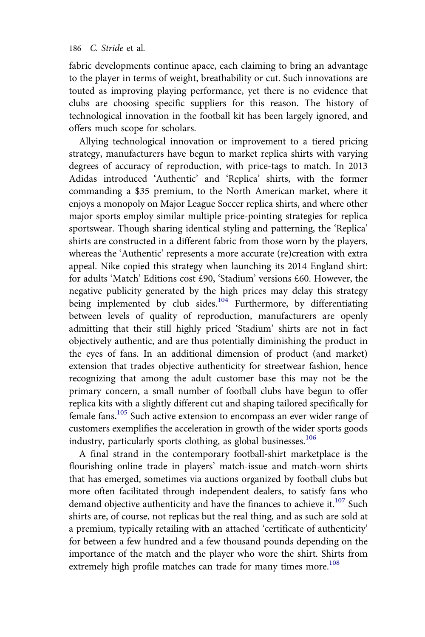<span id="page-32-0"></span>fabric developments continue apace, each claiming to bring an advantage to the player in terms of weight, breathability or cut. Such innovations are touted as improving playing performance, yet there is no evidence that clubs are choosing specific suppliers for this reason. The history of technological innovation in the football kit has been largely ignored, and offers much scope for scholars.

Allying technological innovation or improvement to a tiered pricing strategy, manufacturers have begun to market replica shirts with varying degrees of accuracy of reproduction, with price-tags to match. In 2013 Adidas introduced 'Authentic' and 'Replica' shirts, with the former commanding a \$35 premium, to the North American market, where it enjoys a monopoly on Major League Soccer replica shirts, and where other major sports employ similar multiple price-pointing strategies for replica sportswear. Though sharing identical styling and patterning, the 'Replica' shirts are constructed in a different fabric from those worn by the players, whereas the 'Authentic' represents a more accurate (re)creation with extra appeal. Nike copied this strategy when launching its 2014 England shirt: for adults 'Match' Editions cost £90, 'Stadium' versions £60. However, the negative publicity generated by the high prices may delay this strategy being implemented by club sides.<sup>[104](#page-39-0)</sup> Furthermore, by differentiating between levels of quality of reproduction, manufacturers are openly admitting that their still highly priced 'Stadium' shirts are not in fact objectively authentic, and are thus potentially diminishing the product in the eyes of fans. In an additional dimension of product (and market) extension that trades objective authenticity for streetwear fashion, hence recognizing that among the adult customer base this may not be the primary concern, a small number of football clubs have begun to offer replica kits with a slightly different cut and shaping tailored specifically for female fans.[105](#page-39-0) Such active extension to encompass an ever wider range of customers exemplifies the acceleration in growth of the wider sports goods industry, particularly sports clothing, as global businesses.<sup>[106](#page-39-0)</sup>

A final strand in the contemporary football-shirt marketplace is the flourishing online trade in players' match-issue and match-worn shirts that has emerged, sometimes via auctions organized by football clubs but more often facilitated through independent dealers, to satisfy fans who demand objective authenticity and have the finances to achieve it. $107$  Such shirts are, of course, not replicas but the real thing, and as such are sold at a premium, typically retailing with an attached 'certificate of authenticity' for between a few hundred and a few thousand pounds depending on the importance of the match and the player who wore the shirt. Shirts from extremely high profile matches can trade for many times more.<sup>[108](#page-39-0)</sup>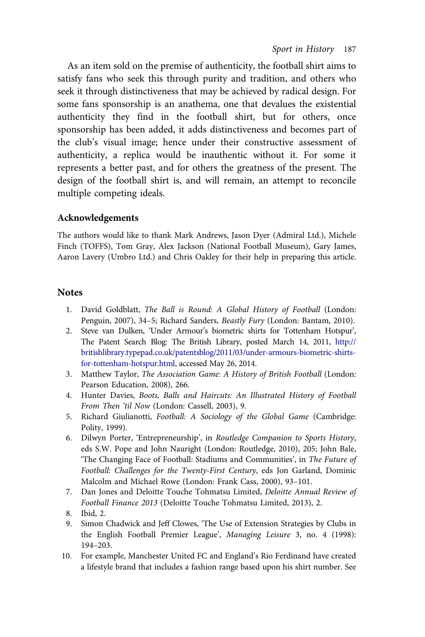<span id="page-33-0"></span>As an item sold on the premise of authenticity, the football shirt aims to satisfy fans who seek this through purity and tradition, and others who seek it through distinctiveness that may be achieved by radical design. For some fans sponsorship is an anathema, one that devalues the existential authenticity they find in the football shirt, but for others, once sponsorship has been added, it adds distinctiveness and becomes part of the club's visual image; hence under their constructive assessment of authenticity, a replica would be inauthentic without it. For some it represents a better past, and for others the greatness of the present. The design of the football shirt is, and will remain, an attempt to reconcile multiple competing ideals.

#### Acknowledgements

The authors would like to thank Mark Andrews, Jason Dyer (Admiral Ltd.), Michele Finch (TOFFS), Tom Gray, Alex Jackson (National Football Museum), Gary James, Aaron Lavery (Umbro Ltd.) and Chris Oakley for their help in preparing this article.

#### **Notes**

- 1. David Goldblatt, The Ball is Round: A Global History of Football (London: Penguin, 2007), 34–5; Richard Sanders, Beastly Fury (London: Bantam, 2010).
- 2. Steve van Dulken, 'Under Armour's biometric shirts for Tottenham Hotspur', The Patent Search Blog: The British Library, posted March 14, 2011, [http://](http://britishlibrary.typepad.co.uk/patentsblog/2011/03/under-armours-biometric-shirts-for-tottenham-hotspur.html) [britishlibrary.typepad.co.uk/patentsblog/2011/03/under-armours-biometric-shirts](http://britishlibrary.typepad.co.uk/patentsblog/2011/03/under-armours-biometric-shirts-for-tottenham-hotspur.html)[for-tottenham-hotspur.html,](http://britishlibrary.typepad.co.uk/patentsblog/2011/03/under-armours-biometric-shirts-for-tottenham-hotspur.html) accessed May 26, 2014.
- 3. Matthew Taylor, The Association Game: A History of British Football (London: Pearson Education, 2008), 266.
- 4. Hunter Davies, Boots, Balls and Haircuts: An Illustrated History of Football From Then 'til Now (London: Cassell, 2003), 9.
- 5. Richard Giulianotti, Football: A Sociology of the Global Game (Cambridge: Polity, 1999).
- 6. Dilwyn Porter, 'Entrepreneurship', in Routledge Companion to Sports History, eds S.W. Pope and John Nauright (London: Routledge, 2010), 205; John Bale, 'The Changing Face of Football: Stadiums and Communities', in The Future of Football: Challenges for the Twenty‐First Century, eds Jon Garland, Dominic Malcolm and Michael Rowe (London: Frank Cass, 2000), 93–101.
- 7. Dan Jones and Deloitte Touche Tohmatsu Limited, Deloitte Annual Review of Football Finance 2013 (Deloitte Touche Tohmatsu Limited, 2013), 2.
- 8. Ibid, 2.
- 9. Simon Chadwick and Jeff Clowes, 'The Use of Extension Strategies by Clubs in the English Football Premier League', Managing Leisure 3, no. 4 (1998): 194–203.
- 10. For example, Manchester United FC and England's Rio Ferdinand have created a lifestyle brand that includes a fashion range based upon his shirt number. See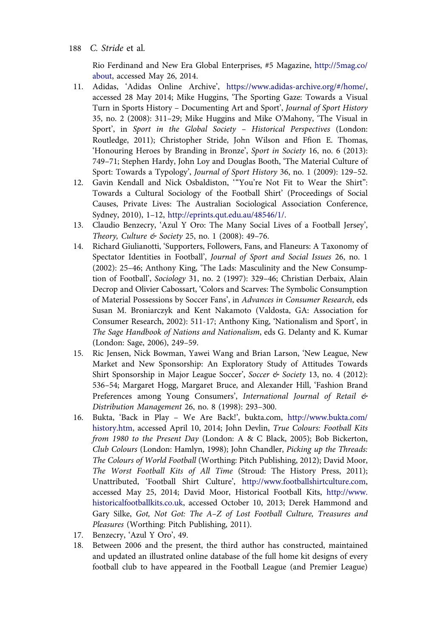Rio Ferdinand and New Era Global Enterprises, #5 Magazine, [http://5mag.co/](http://5mag.co/about) [about,](http://5mag.co/about) accessed May 26, 2014.

- <span id="page-34-0"></span>11. Adidas, 'Adidas Online Archive', [https://www.adidas-archive.org/#/home/,](https://www.adidas-archive.org/#/home/) accessed 28 May 2014; Mike Huggins, 'The Sporting Gaze: Towards a Visual Turn in Sports History – Documenting Art and Sport', Journal of Sport History 35, no. 2 (2008): 311–29; Mike Huggins and Mike O'Mahony, 'The Visual in Sport', in Sport in the Global Society – Historical Perspectives (London: Routledge, 2011); Christopher Stride, John Wilson and Ffion E. Thomas, 'Honouring Heroes by Branding in Bronze', Sport in Society 16, no. 6 (2013): 749–71; Stephen Hardy, John Loy and Douglas Booth, 'The Material Culture of Sport: Towards a Typology', Journal of Sport History 36, no. 1 (2009): 129–52.
- 12. Gavin Kendall and Nick Osbaldiston, '"You're Not Fit to Wear the Shirt": Towards a Cultural Sociology of the Football Shirt' (Proceedings of Social Causes, Private Lives: The Australian Sociological Association Conference, Sydney, 2010), 1–12, [http://eprints.qut.edu.au/48546/1/.](http://eprints.qut.edu.au/48546/1/)
- 13. Claudio Benzecry, 'Azul Y Oro: The Many Social Lives of a Football Jersey', Theory, Culture & Society 25, no. 1 (2008): 49–76.
- 14. Richard Giulianotti, 'Supporters, Followers, Fans, and Flaneurs: A Taxonomy of Spectator Identities in Football', Journal of Sport and Social Issues 26, no. 1 (2002): 25–46; Anthony King, 'The Lads: Masculinity and the New Consumption of Football', Sociology 31, no. 2 (1997): 329–46; Christian Derbaix, Alain Decrop and Olivier Cabossart, 'Colors and Scarves: The Symbolic Consumption of Material Possessions by Soccer Fans', in Advances in Consumer Research, eds Susan M. Broniarczyk and Kent Nakamoto (Valdosta, GA: Association for Consumer Research, 2002): 511-17; Anthony King, 'Nationalism and Sport', in The Sage Handbook of Nations and Nationalism, eds G. Delanty and K. Kumar (London: Sage, 2006), 249–59.
- 15. Ric Jensen, Nick Bowman, Yawei Wang and Brian Larson, 'New League, New Market and New Sponsorship: An Exploratory Study of Attitudes Towards Shirt Sponsorship in Major League Soccer', Soccer & Society 13, no. 4 (2012): 536–54; Margaret Hogg, Margaret Bruce, and Alexander Hill, 'Fashion Brand Preferences among Young Consumers', International Journal of Retail & Distribution Management 26, no. 8 (1998): 293–300.
- 16. Bukta, 'Back in Play We Are Back!', bukta.com, [http://www.bukta.com/](http://www.bukta.com/history.htm) [history.htm,](http://www.bukta.com/history.htm) accessed April 10, 2014; John Devlin, True Colours: Football Kits from 1980 to the Present Day (London: A & C Black, 2005); Bob Bickerton, Club Colours (London: Hamlyn, 1998); John Chandler, Picking up the Threads: The Colours of World Football (Worthing: Pitch Publishing, 2012); David Moor, The Worst Football Kits of All Time (Stroud: The History Press, 2011); Unattributed, 'Football Shirt Culture', [http://www.footballshirtculture.com,](http://www.footballshirtculture.com) accessed May 25, 2014; David Moor, Historical Football Kits, [http://www.](http://www.historicalfootballkits.co.uk) [historicalfootballkits.co.uk](http://www.historicalfootballkits.co.uk), accessed October 10, 2013; Derek Hammond and Gary Silke, Got, Not Got: The A–Z of Lost Football Culture, Treasures and Pleasures (Worthing: Pitch Publishing, 2011).
- 17. Benzecry, 'Azul Y Oro', 49.
- 18. Between 2006 and the present, the third author has constructed, maintained and updated an illustrated online database of the full home kit designs of every football club to have appeared in the Football League (and Premier League)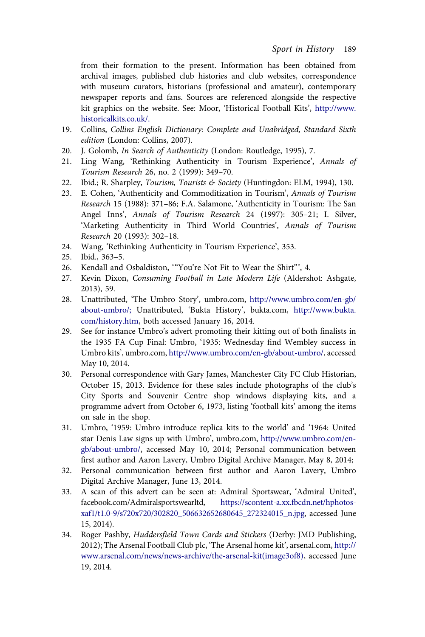<span id="page-35-0"></span>from their formation to the present. Information has been obtained from archival images, published club histories and club websites, correspondence with museum curators, historians (professional and amateur), contemporary newspaper reports and fans. Sources are referenced alongside the respective kit graphics on the website. See: Moor, 'Historical Football Kits', [http://www.](http://www.historicalkits.co.uk/.) [historicalkits.co.uk/.](http://www.historicalkits.co.uk/.)

- 19. Collins, Collins English Dictionary: Complete and Unabridged, Standard Sixth edition (London: Collins, 2007).
- 20. J. Golomb, *In Search of Authenticity* (London: Routledge, 1995), 7.
- 21. Ling Wang, 'Rethinking Authenticity in Tourism Experience', Annals of Tourism Research 26, no. 2 (1999): 349–70.
- 22. Ibid.; R. Sharpley, *Tourism, Tourists & Society* (Huntingdon: ELM, 1994), 130.
- 23. E. Cohen, 'Authenticity and Commoditization in Tourism', Annals of Tourism Research 15 (1988): 371–86; F.A. Salamone, 'Authenticity in Tourism: The San Angel Inns', Annals of Tourism Research 24 (1997): 305–21; I. Silver, 'Marketing Authenticity in Third World Countries', Annals of Tourism Research 20 (1993): 302–18.
- 24. Wang, 'Rethinking Authenticity in Tourism Experience', 353.
- 25. Ibid., 363–5.
- 26. Kendall and Osbaldiston, '"You're Not Fit to Wear the Shirt"', 4.
- 27. Kevin Dixon, Consuming Football in Late Modern Life (Aldershot: Ashgate, 2013), 59.
- 28. Unattributed, 'The Umbro Story', umbro.com, [http://www.umbro.com/en-gb/](http://www.umbro.com/en-gb/about-umbro/) [about-umbro/;](http://www.umbro.com/en-gb/about-umbro/) Unattributed, 'Bukta History', bukta.com, [http://www.bukta.](http://www.bukta.com/history.htm) [com/history.htm](http://www.bukta.com/history.htm), both accessed January 16, 2014.
- 29. See for instance Umbro's advert promoting their kitting out of both finalists in the 1935 FA Cup Final: Umbro, '1935: Wednesday find Wembley success in Umbro kits', umbro.com, [http://www.umbro.com/en-gb/about-umbro/,](http://www.umbro.com/en-gb/about-umbro/) accessed May 10, 2014.
- 30. Personal correspondence with Gary James, Manchester City FC Club Historian, October 15, 2013. Evidence for these sales include photographs of the club's City Sports and Souvenir Centre shop windows displaying kits, and a programme advert from October 6, 1973, listing 'football kits' among the items on sale in the shop.
- 31. Umbro, '1959: Umbro introduce replica kits to the world' and '1964: United star Denis Law signs up with Umbro', umbro.com, [http://www.umbro.com/en](http://www.umbro.com/en-gb/about-umbro/)[gb/about-umbro/](http://www.umbro.com/en-gb/about-umbro/), accessed May 10, 2014; Personal communication between first author and Aaron Lavery, Umbro Digital Archive Manager, May 8, 2014;
- 32. Personal communication between first author and Aaron Lavery, Umbro Digital Archive Manager, June 13, 2014.
- 33. A scan of this advert can be seen at: Admiral Sportswear, 'Admiral United', facebook.com/Admiralsportswearltd, [https://scontent-a.xx.fbcdn.net/hphotos](https://scontent-a.xx.fbcdn.net/hphotos-xaf1/t1.0-9/s720x720/302820_506632652680645_272324015_n.jpg)[xaf1/t1.0-9/s720x720/302820\\_506632652680645\\_272324015\\_n.jpg,](https://scontent-a.xx.fbcdn.net/hphotos-xaf1/t1.0-9/s720x720/302820_506632652680645_272324015_n.jpg) accessed June 15, 2014).
- 34. Roger Pashby, Huddersfield Town Cards and Stickers (Derby: JMD Publishing, 2012); The Arsenal Football Club plc, 'The Arsenal home kit', arsenal.com, [http://](http://www.arsenal.com/news/news-archive/the-arsenal-kit(image3of8)) [www.arsenal.com/news/news-archive/the-arsenal-kit\(image3of8\)](http://www.arsenal.com/news/news-archive/the-arsenal-kit(image3of8)), accessed June 19, 2014.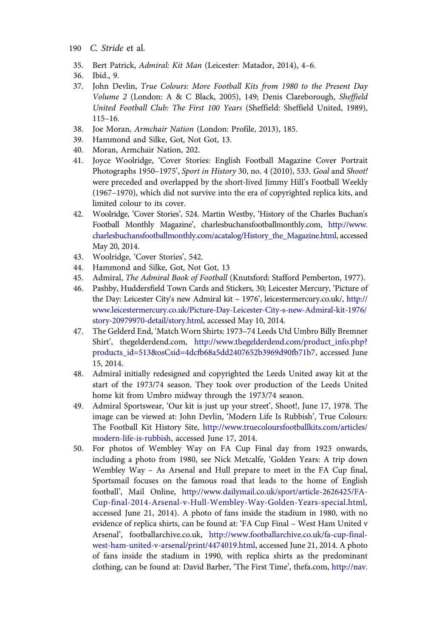- <span id="page-36-0"></span>190 C. Stride et al.
- 35. Bert Patrick, Admiral: Kit Man (Leicester: Matador, 2014), 4–6.
- 36. Ibid., 9.
- 37. John Devlin, True Colours: More Football Kits from 1980 to the Present Day Volume 2 (London: A & C Black, 2005), 149; Denis Clareborough, Sheffield United Football Club: The First 100 Years (Sheffield: Sheffield United, 1989), 115–16.
- 38. Joe Moran, Armchair Nation (London: Profile, 2013), 185.
- 39. Hammond and Silke, Got, Not Got, 13.
- 40. Moran, Armchair Nation, 202.
- 41. Joyce Woolridge, 'Cover Stories: English Football Magazine Cover Portrait Photographs 1950–1975', Sport in History 30, no. 4 (2010), 533. Goal and Shoot! were preceded and overlapped by the short-lived Jimmy Hill's Football Weekly (1967–1970), which did not survive into the era of copyrighted replica kits, and limited colour to its cover.
- 42. Woolridge, 'Cover Stories', 524. Martin Westby, 'History of the Charles Buchan's Football Monthly Magazine', charlesbuchansfootballmonthly.com, [http://www.](http://www.charlesbuchansfootballmonthly.com/acatalog/History_the_Magazine.html) [charlesbuchansfootballmonthly.com/acatalog/History\\_the\\_Magazine.html,](http://www.charlesbuchansfootballmonthly.com/acatalog/History_the_Magazine.html) accessed May 20, 2014.
- 43. Woolridge, 'Cover Stories', 542.
- 44. Hammond and Silke, Got, Not Got, 13
- 45. Admiral, The Admiral Book of Football (Knutsford: Stafford Pemberton, 1977).
- 46. Pashby, Huddersfield Town Cards and Stickers, 30; Leicester Mercury, 'Picture of the Day: Leicester City's new Admiral kit – 1976', leicestermercury.co.uk/, [http://](http://www.leicestermercury.co.uk/Picture-Day-Leicester-City-s-new-Admiral-kit-1976/story-20979970-detail/story.html) [www.leicestermercury.co.uk/Picture-Day-Leicester-City-s-new-Admiral-kit-1976/](http://www.leicestermercury.co.uk/Picture-Day-Leicester-City-s-new-Admiral-kit-1976/story-20979970-detail/story.html) [story-20979970-detail/story.html](http://www.leicestermercury.co.uk/Picture-Day-Leicester-City-s-new-Admiral-kit-1976/story-20979970-detail/story.html), accessed May 10, 2014.
- 47. The Gelderd End, 'Match Worn Shirts: 1973–74 Leeds Utd Umbro Billy Bremner Shirt', thegelderdend.com, [http://www.thegelderdend.com/product\\_info.php?](http://www.thegelderdend.com/product_info.php?products_id=513&osCsid=4dcfb68a5dd2407652b3969d90fb71b7) [products\\_id=513&osCsid=4dcfb68a5dd2407652b3969d90fb71b7](http://www.thegelderdend.com/product_info.php?products_id=513&osCsid=4dcfb68a5dd2407652b3969d90fb71b7), accessed June 15, 2014.
- 48. Admiral initially redesigned and copyrighted the Leeds United away kit at the start of the 1973/74 season. They took over production of the Leeds United home kit from Umbro midway through the 1973/74 season.
- 49. Admiral Sportswear, 'Our kit is just up your street', Shoot!, June 17, 1978. The image can be viewed at: John Devlin, 'Modern Life Is Rubbish', True Colours: The Football Kit History Site, [http://www.truecoloursfootballkits.com/articles/](http://www.truecoloursfootballkits.com/articles/modern-life-is-rubbish) [modern-life-is-rubbish,](http://www.truecoloursfootballkits.com/articles/modern-life-is-rubbish) accessed June 17, 2014.
- 50. For photos of Wembley Way on FA Cup Final day from 1923 onwards, including a photo from 1980, see Nick Metcalfe, 'Golden Years: A trip down Wembley Way – As Arsenal and Hull prepare to meet in the FA Cup final, Sportsmail focuses on the famous road that leads to the home of English football', Mail Online, [http://www.dailymail.co.uk/sport/article-2626425/FA-](http://www.dailymail.co.uk/sport/article-2626425/FA-Cup-final-2014-Arsenal-v-Hull-Wembley-Way-Golden-Years-special.html)[Cup-final-2014-Arsenal-v-Hull-Wembley-Way-Golden-Years-special.html](http://www.dailymail.co.uk/sport/article-2626425/FA-Cup-final-2014-Arsenal-v-Hull-Wembley-Way-Golden-Years-special.html), accessed June 21, 2014). A photo of fans inside the stadium in 1980, with no evidence of replica shirts, can be found at: 'FA Cup Final – West Ham United v Arsenal', footballarchive.co.uk, [http://www.footballarchive.co.uk/fa-cup-final](http://www.footballarchive.co.uk/fa-cup-final-west-ham-united-v-arsenal/print/4474019.html)[west-ham-united-v-arsenal/print/4474019.html,](http://www.footballarchive.co.uk/fa-cup-final-west-ham-united-v-arsenal/print/4474019.html) accessed June 21, 2014. A photo of fans inside the stadium in 1990, with replica shirts as the predominant clothing, can be found at: David Barber, 'The First Time', thefa.com, [http://nav.](http://nav.thefa.com/sitecore/content/TheFA/Home/TheFACup/FACompetitions/TheFACup/NewsAndFeatures/2010/Thefirsttime)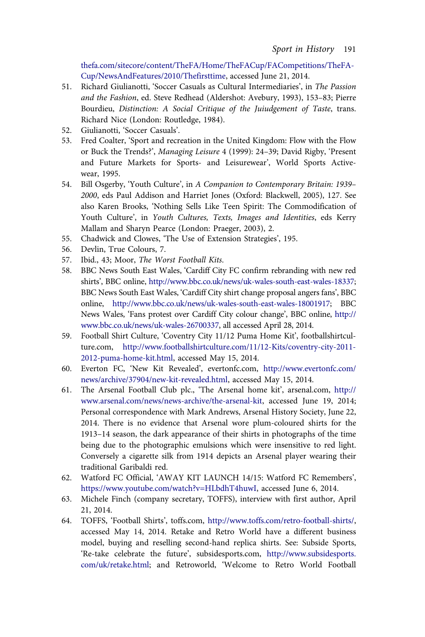<span id="page-37-0"></span>[thefa.com/sitecore/content/TheFA/Home/TheFACup/FACompetitions/TheFA-](http://nav.thefa.com/sitecore/content/TheFA/Home/TheFACup/FACompetitions/TheFACup/NewsAndFeatures/2010/Thefirsttime)[Cup/NewsAndFeatures/2010/Thefirsttime,](http://nav.thefa.com/sitecore/content/TheFA/Home/TheFACup/FACompetitions/TheFACup/NewsAndFeatures/2010/Thefirsttime) accessed June 21, 2014.

- 51. Richard Giulianotti, 'Soccer Casuals as Cultural Intermediaries', in The Passion and the Fashion, ed. Steve Redhead (Aldershot: Avebury, 1993), 153–83; Pierre Bourdieu, Distinction: A Social Critique of the Juiudgement of Taste, trans. Richard Nice (London: Routledge, 1984).
- 52. Giulianotti, 'Soccer Casuals'.
- 53. Fred Coalter, 'Sport and recreation in the United Kingdom: Flow with the Flow or Buck the Trends?', Managing Leisure 4 (1999): 24–39; David Rigby, 'Present and Future Markets for Sports- and Leisurewear', World Sports Activewear, 1995.
- 54. Bill Osgerby, 'Youth Culture', in A Companion to Contemporary Britain: 1939– 2000, eds Paul Addison and Harriet Jones (Oxford: Blackwell, 2005), 127. See also Karen Brooks, 'Nothing Sells Like Teen Spirit: The Commodification of Youth Culture', in Youth Cultures, Texts, Images and Identities, eds Kerry Mallam and Sharyn Pearce (London: Praeger, 2003), 2.
- 55. Chadwick and Clowes, 'The Use of Extension Strategies', 195.
- 56. Devlin, True Colours, 7.
- 57. Ibid., 43; Moor, The Worst Football Kits.
- 58. BBC News South East Wales, 'Cardiff City FC confirm rebranding with new red shirts', BBC online, [http://www.bbc.co.uk/news/uk-wales-south-east-wales-18337;](http://www.bbc.co.uk/news/uk-wales-south-east-wales-18337) BBC News South East Wales, 'Cardiff City shirt change proposal angers fans', BBC online, <http://www.bbc.co.uk/news/uk-wales-south-east-wales-18001917>; BBC News Wales, 'Fans protest over Cardiff City colour change', BBC online, [http://](http://www.bbc.co.uk/news/uk-wales-26700337) [www.bbc.co.uk/news/uk-wales-26700337,](http://www.bbc.co.uk/news/uk-wales-26700337) all accessed April 28, 2014.
- 59. Football Shirt Culture, 'Coventry City 11/12 Puma Home Kit', footballshirtculture.com, [http://www.footballshirtculture.com/11/12-Kits/coventry-city-2011-](http://www.footballshirtculture.com/11/12-Kits/coventry-city-2011-2012-puma-home-kit.html) [2012-puma-home-kit.html](http://www.footballshirtculture.com/11/12-Kits/coventry-city-2011-2012-puma-home-kit.html), accessed May 15, 2014.
- 60. Everton FC, 'New Kit Revealed', evertonfc.com, [http://www.evertonfc.com/](http://www.evertonfc.com/news/archive/37904/new-kit-revealed.html) [news/archive/37904/new-kit-revealed.html,](http://www.evertonfc.com/news/archive/37904/new-kit-revealed.html) accessed May 15, 2014.
- 61. The Arsenal Football Club plc., 'The Arsenal home kit', arsenal.com, [http://](http://www.arsenal.com/news/news-archive/the-arsenal-kit) [www.arsenal.com/news/news-archive/the-arsenal-kit,](http://www.arsenal.com/news/news-archive/the-arsenal-kit) accessed June 19, 2014; Personal correspondence with Mark Andrews, Arsenal History Society, June 22, 2014. There is no evidence that Arsenal wore plum-coloured shirts for the 1913–14 season, the dark appearance of their shirts in photographs of the time being due to the photographic emulsions which were insensitive to red light. Conversely a cigarette silk from 1914 depicts an Arsenal player wearing their traditional Garibaldi red.
- 62. Watford FC Official, 'AWAY KIT LAUNCH 14/15: Watford FC Remembers', [https://www.youtube.com/watch?v=HLbdhT4huwI,](https://www.youtube.com/watch?v=HLbdhT4huwI) accessed June 6, 2014.
- 63. Michele Finch (company secretary, TOFFS), interview with first author, April 21, 2014.
- 64. TOFFS, 'Football Shirts', toffs.com, [http://www.toffs.com/retro-football-shirts/,](http://www.toffs.com/retro-football-shirts/) accessed May 14, 2014. Retake and Retro World have a different business model, buying and reselling second-hand replica shirts. See: Subside Sports, 'Re-take celebrate the future', subsidesports.com, [http://www.subsidesports.](http://www.subsidesports.com/uk/retake.html) [com/uk/retake.html](http://www.subsidesports.com/uk/retake.html); and Retroworld, 'Welcome to Retro World Football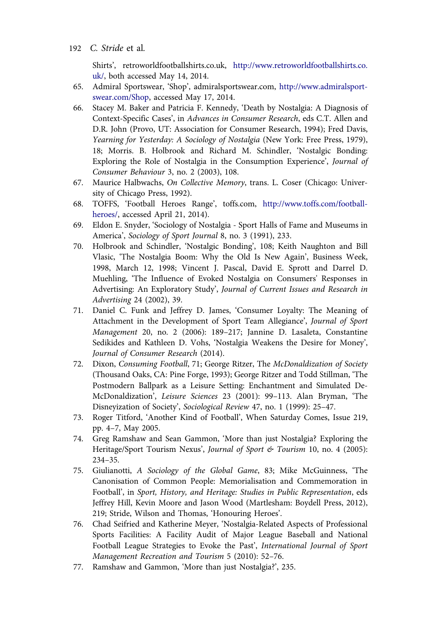Shirts', retroworldfootballshirts.co.uk, [http://www.retroworldfootballshirts.co.](http://www.retroworldfootballshirts.co.uk/) [uk/](http://www.retroworldfootballshirts.co.uk/), both accessed May 14, 2014.

- <span id="page-38-0"></span>65. Admiral Sportswear, 'Shop', admiralsportswear.com, [http://www.admiralsport](http://www.admiralsportswear.com/Shop)[swear.com/Shop,](http://www.admiralsportswear.com/Shop) accessed May 17, 2014.
- 66. Stacey M. Baker and Patricia F. Kennedy, 'Death by Nostalgia: A Diagnosis of Context-Specific Cases', in Advances in Consumer Research, eds C.T. Allen and D.R. John (Provo, UT: Association for Consumer Research, 1994); Fred Davis, Yearning for Yesterday: A Sociology of Nostalgia (New York: Free Press, 1979), 18; Morris. B. Holbrook and Richard M. Schindler, 'Nostalgic Bonding: Exploring the Role of Nostalgia in the Consumption Experience', Journal of Consumer Behaviour 3, no. 2 (2003), 108.
- 67. Maurice Halbwachs, On Collective Memory, trans. L. Coser (Chicago: University of Chicago Press, 1992).
- 68. TOFFS, 'Football Heroes Range', toffs.com, [http://www.toffs.com/football](http://www.toffs.com/football-heroes/)[heroes/](http://www.toffs.com/football-heroes/), accessed April 21, 2014).
- 69. Eldon E. Snyder, 'Sociology of Nostalgia Sport Halls of Fame and Museums in America', Sociology of Sport Journal 8, no. 3 (1991), 233.
- 70. Holbrook and Schindler, 'Nostalgic Bonding', 108; Keith Naughton and Bill Vlasic, 'The Nostalgia Boom: Why the Old Is New Again', Business Week, 1998, March 12, 1998; Vincent J. Pascal, David E. Sprott and Darrel D. Muehling, 'The Influence of Evoked Nostalgia on Consumers' Responses in Advertising: An Exploratory Study', Journal of Current Issues and Research in Advertising 24 (2002), 39.
- 71. Daniel C. Funk and Jeffrey D. James, 'Consumer Loyalty: The Meaning of Attachment in the Development of Sport Team Allegiance', Journal of Sport Management 20, no. 2 (2006): 189–217; Jannine D. Lasaleta, Constantine Sedikides and Kathleen D. Vohs, 'Nostalgia Weakens the Desire for Money', Journal of Consumer Research (2014).
- 72. Dixon, Consuming Football, 71; George Ritzer, The McDonaldization of Society (Thousand Oaks, CA: Pine Forge, 1993); George Ritzer and Todd Stillman, 'The Postmodern Ballpark as a Leisure Setting: Enchantment and Simulated De-McDonaldization', Leisure Sciences 23 (2001): 99–113. Alan Bryman, 'The Disneyization of Society', Sociological Review 47, no. 1 (1999): 25–47.
- 73. Roger Titford, 'Another Kind of Football', When Saturday Comes, Issue 219, pp. 4–7, May 2005.
- 74. Greg Ramshaw and Sean Gammon, 'More than just Nostalgia? Exploring the Heritage/Sport Tourism Nexus', Journal of Sport & Tourism 10, no. 4 (2005): 234–35.
- 75. Giulianotti, A Sociology of the Global Game, 83; Mike McGuinness, 'The Canonisation of Common People: Memorialisation and Commemoration in Football', in Sport, History, and Heritage: Studies in Public Representation, eds Jeffrey Hill, Kevin Moore and Jason Wood (Martlesham: Boydell Press, 2012), 219; Stride, Wilson and Thomas, 'Honouring Heroes'.
- 76. Chad Seifried and Katherine Meyer, 'Nostalgia-Related Aspects of Professional Sports Facilities: A Facility Audit of Major League Baseball and National Football League Strategies to Evoke the Past', International Journal of Sport Management Recreation and Tourism 5 (2010): 52–76.
- 77. Ramshaw and Gammon, 'More than just Nostalgia?', 235.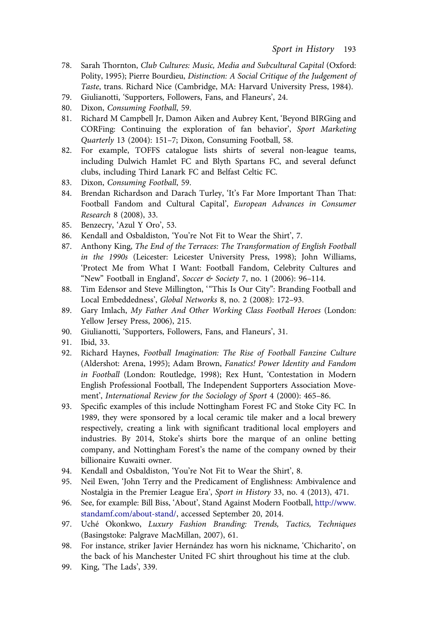- <span id="page-39-0"></span>78. Sarah Thornton, Club Cultures: Music, Media and Subcultural Capital (Oxford: Polity, 1995); Pierre Bourdieu, Distinction: A Social Critique of the Judgement of Taste, trans. Richard Nice (Cambridge, MA: Harvard University Press, 1984).
- 79. Giulianotti, 'Supporters, Followers, Fans, and Flaneurs', 24.
- 80. Dixon, Consuming Football, 59.
- 81. Richard M Campbell Jr, Damon Aiken and Aubrey Kent, 'Beyond BIRGing and CORFing: Continuing the exploration of fan behavior', Sport Marketing Quarterly 13 (2004): 151–7; Dixon, Consuming Football, 58.
- 82. For example, TOFFS catalogue lists shirts of several non-league teams, including Dulwich Hamlet FC and Blyth Spartans FC, and several defunct clubs, including Third Lanark FC and Belfast Celtic FC.
- 83. Dixon, Consuming Football, 59.
- 84. Brendan Richardson and Darach Turley, 'It's Far More Important Than That: Football Fandom and Cultural Capital', European Advances in Consumer Research 8 (2008), 33.
- 85. Benzecry, 'Azul Y Oro', 53.
- 86. Kendall and Osbaldiston, 'You're Not Fit to Wear the Shirt', 7.
- 87. Anthony King, The End of the Terraces: The Transformation of English Football in the 1990s (Leicester: Leicester University Press, 1998); John Williams, 'Protect Me from What I Want: Football Fandom, Celebrity Cultures and "New" Football in England', Soccer & Society 7, no. 1 (2006): 96–114.
- 88. Tim Edensor and Steve Millington, '"This Is Our City": Branding Football and Local Embeddedness', Global Networks 8, no. 2 (2008): 172–93.
- 89. Gary Imlach, My Father And Other Working Class Football Heroes (London: Yellow Jersey Press, 2006), 215.
- 90. Giulianotti, 'Supporters, Followers, Fans, and Flaneurs', 31.
- 91. Ibid, 33.
- 92. Richard Haynes, Football Imagination: The Rise of Football Fanzine Culture (Aldershot: Arena, 1995); Adam Brown, Fanatics! Power Identity and Fandom in Football (London: Routledge, 1998); Rex Hunt, 'Contestation in Modern English Professional Football, The Independent Supporters Association Movement', International Review for the Sociology of Sport 4 (2000): 465–86.
- 93. Specific examples of this include Nottingham Forest FC and Stoke City FC. In 1989, they were sponsored by a local ceramic tile maker and a local brewery respectively, creating a link with significant traditional local employers and industries. By 2014, Stoke's shirts bore the marque of an online betting company, and Nottingham Forest's the name of the company owned by their billionaire Kuwaiti owner.
- 94. Kendall and Osbaldiston, 'You're Not Fit to Wear the Shirt', 8.
- 95. Neil Ewen, 'John Terry and the Predicament of Englishness: Ambivalence and Nostalgia in the Premier League Era', Sport in History 33, no. 4 (2013), 471.
- 96. See, for example: Bill Biss, 'About', Stand Against Modern Football, [http://www.](http://www.standamf.com/about-stand/) [standamf.com/about-stand/,](http://www.standamf.com/about-stand/) accessed September 20, 2014.
- 97. Uché Okonkwo, Luxury Fashion Branding: Trends, Tactics, Techniques (Basingstoke: Palgrave MacMillan, 2007), 61.
- 98. For instance, striker Javier Hernández has worn his nickname, 'Chicharito', on the back of his Manchester United FC shirt throughout his time at the club.
- 99. King, 'The Lads', 339.